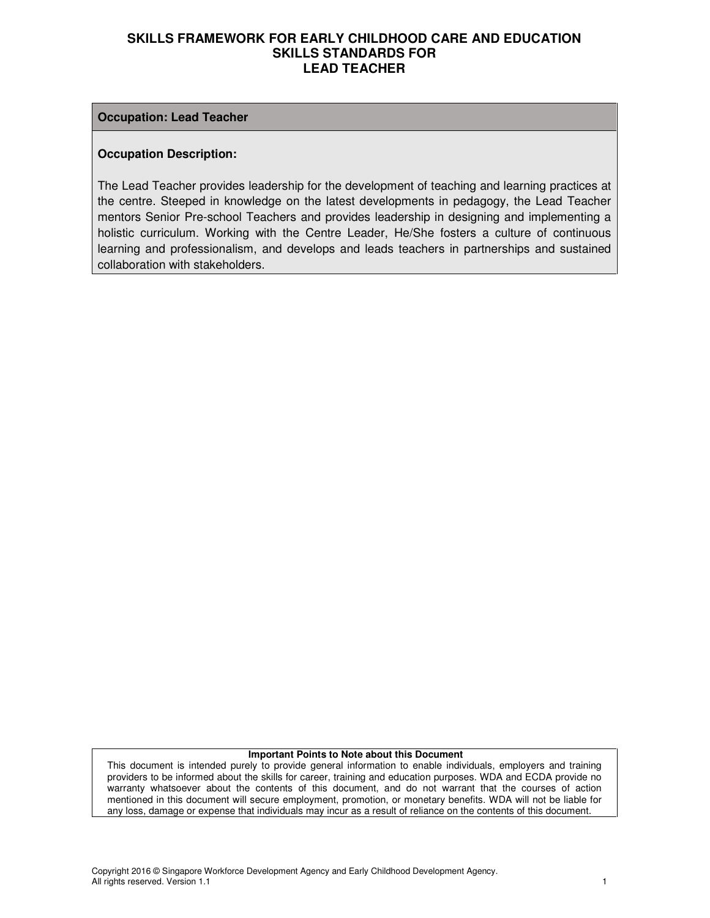#### **Occupation: Lead Teacher**

#### **Occupation Description:**

The Lead Teacher provides leadership for the development of teaching and learning practices at the centre. Steeped in knowledge on the latest developments in pedagogy, the Lead Teacher mentors Senior Pre-school Teachers and provides leadership in designing and implementing a holistic curriculum. Working with the Centre Leader, He/She fosters a culture of continuous learning and professionalism, and develops and leads teachers in partnerships and sustained collaboration with stakeholders.

#### **Important Points to Note about this Document**

This document is intended purely to provide general information to enable individuals, employers and training providers to be informed about the skills for career, training and education purposes. WDA and ECDA provide no warranty whatsoever about the contents of this document, and do not warrant that the courses of action mentioned in this document will secure employment, promotion, or monetary benefits. WDA will not be liable for any loss, damage or expense that individuals may incur as a result of reliance on the contents of this document.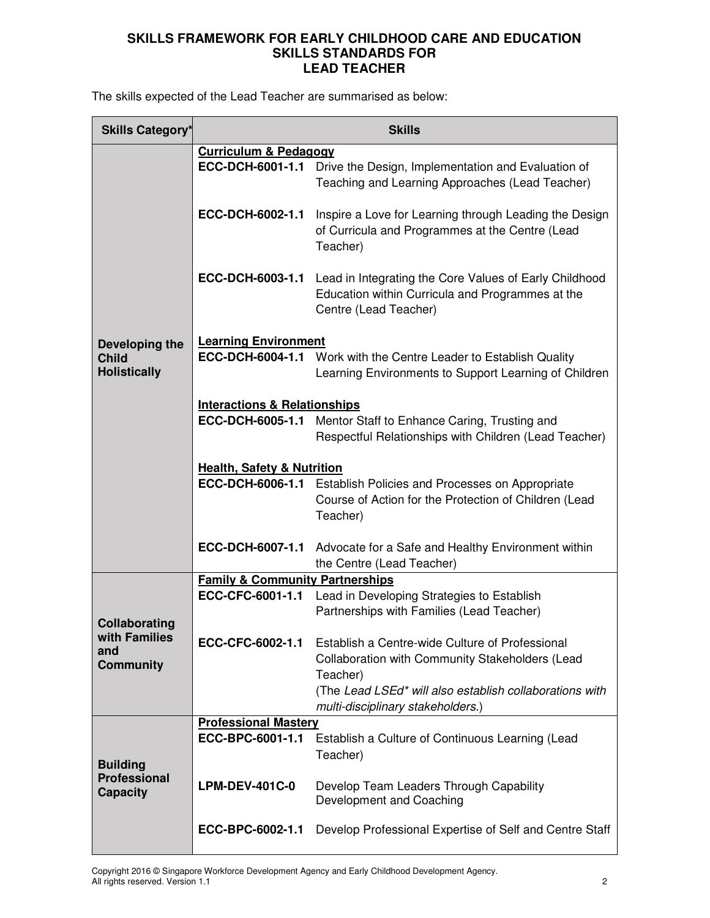The skills expected of the Lead Teacher are summarised as below:

| <b>Skills Category*</b>                                   | <b>Skills</b>                              |                                                                                                                                     |  |
|-----------------------------------------------------------|--------------------------------------------|-------------------------------------------------------------------------------------------------------------------------------------|--|
|                                                           | <b>Curriculum &amp; Pedagogy</b>           |                                                                                                                                     |  |
|                                                           | ECC-DCH-6001-1.1                           | Drive the Design, Implementation and Evaluation of<br>Teaching and Learning Approaches (Lead Teacher)                               |  |
|                                                           | ECC-DCH-6002-1.1                           | Inspire a Love for Learning through Leading the Design<br>of Curricula and Programmes at the Centre (Lead<br>Teacher)               |  |
|                                                           | ECC-DCH-6003-1.1                           | Lead in Integrating the Core Values of Early Childhood<br>Education within Curricula and Programmes at the<br>Centre (Lead Teacher) |  |
|                                                           |                                            |                                                                                                                                     |  |
| Developing the<br><b>Child</b><br><b>Holistically</b>     | <b>Learning Environment</b>                | ECC-DCH-6004-1.1 Work with the Centre Leader to Establish Quality<br>Learning Environments to Support Learning of Children          |  |
|                                                           | <b>Interactions &amp; Relationships</b>    |                                                                                                                                     |  |
|                                                           |                                            | <b>ECC-DCH-6005-1.1</b> Mentor Staff to Enhance Caring, Trusting and                                                                |  |
|                                                           |                                            | Respectful Relationships with Children (Lead Teacher)                                                                               |  |
|                                                           |                                            |                                                                                                                                     |  |
| <b>Health, Safety &amp; Nutrition</b>                     |                                            |                                                                                                                                     |  |
|                                                           | ECC-DCH-6006-1.1                           | Establish Policies and Processes on Appropriate                                                                                     |  |
|                                                           |                                            | Course of Action for the Protection of Children (Lead                                                                               |  |
|                                                           |                                            | Teacher)                                                                                                                            |  |
|                                                           |                                            |                                                                                                                                     |  |
|                                                           |                                            | ECC-DCH-6007-1.1 Advocate for a Safe and Healthy Environment within                                                                 |  |
|                                                           |                                            | the Centre (Lead Teacher)                                                                                                           |  |
|                                                           | <b>Family &amp; Community Partnerships</b> |                                                                                                                                     |  |
|                                                           | ECC-CFC-6001-1.1                           | Lead in Developing Strategies to Establish                                                                                          |  |
|                                                           |                                            | Partnerships with Families (Lead Teacher)                                                                                           |  |
| <b>Collaborating</b><br>with Families                     |                                            |                                                                                                                                     |  |
| and                                                       | ECC-CFC-6002-1.1                           | Establish a Centre-wide Culture of Professional                                                                                     |  |
| <b>Community</b>                                          |                                            | <b>Collaboration with Community Stakeholders (Lead</b>                                                                              |  |
|                                                           |                                            | Teacher)                                                                                                                            |  |
|                                                           |                                            | (The Lead LSEd* will also establish collaborations with<br>multi-disciplinary stakeholders.)                                        |  |
|                                                           | <b>Professional Mastery</b>                |                                                                                                                                     |  |
| <b>Building</b><br><b>Professional</b><br><b>Capacity</b> | ECC-BPC-6001-1.1                           | Establish a Culture of Continuous Learning (Lead<br>Teacher)                                                                        |  |
|                                                           | <b>LPM-DEV-401C-0</b>                      | Develop Team Leaders Through Capability<br>Development and Coaching                                                                 |  |
|                                                           | ECC-BPC-6002-1.1                           | Develop Professional Expertise of Self and Centre Staff                                                                             |  |

Copyright 2016 © Singapore Workforce Development Agency and Early Childhood Development Agency. All rights reserved. Version 1.1 2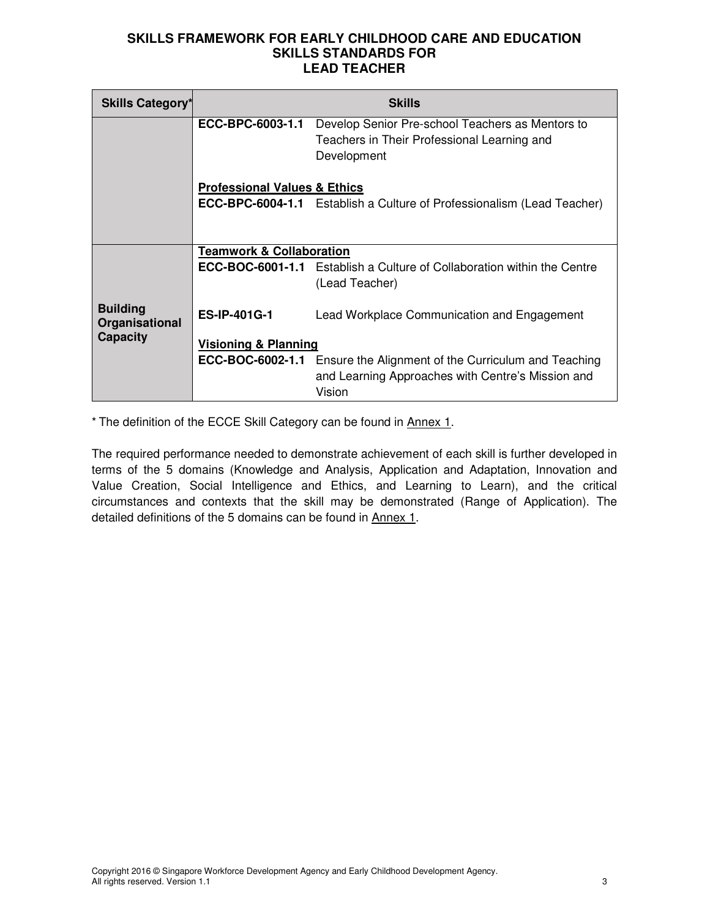| <b>Skills Category*</b>                            | <b>Skills</b>                           |                                                                                                                                            |  |
|----------------------------------------------------|-----------------------------------------|--------------------------------------------------------------------------------------------------------------------------------------------|--|
|                                                    | ECC-BPC-6003-1.1                        | Develop Senior Pre-school Teachers as Mentors to<br>Teachers in Their Professional Learning and<br>Development                             |  |
|                                                    | <b>Professional Values &amp; Ethics</b> |                                                                                                                                            |  |
|                                                    |                                         | <b>ECC-BPC-6004-1.1</b> Establish a Culture of Professionalism (Lead Teacher)                                                              |  |
|                                                    |                                         |                                                                                                                                            |  |
|                                                    | <b>Teamwork &amp; Collaboration</b>     |                                                                                                                                            |  |
|                                                    |                                         | <b>ECC-BOC-6001-1.1</b> Establish a Culture of Collaboration within the Centre<br>(Lead Teacher)                                           |  |
| <b>Building</b><br>Organisational                  | <b>ES-IP-401G-1</b>                     | Lead Workplace Communication and Engagement                                                                                                |  |
| <b>Capacity</b><br><b>Visioning &amp; Planning</b> |                                         |                                                                                                                                            |  |
|                                                    |                                         | <b>ECC-BOC-6002-1.1</b> Ensure the Alignment of the Curriculum and Teaching<br>and Learning Approaches with Centre's Mission and<br>Vision |  |

\* The definition of the ECCE Skill Category can be found in Annex 1.

The required performance needed to demonstrate achievement of each skill is further developed in terms of the 5 domains (Knowledge and Analysis, Application and Adaptation, Innovation and Value Creation, Social Intelligence and Ethics, and Learning to Learn), and the critical circumstances and contexts that the skill may be demonstrated (Range of Application). The detailed definitions of the 5 domains can be found in Annex 1.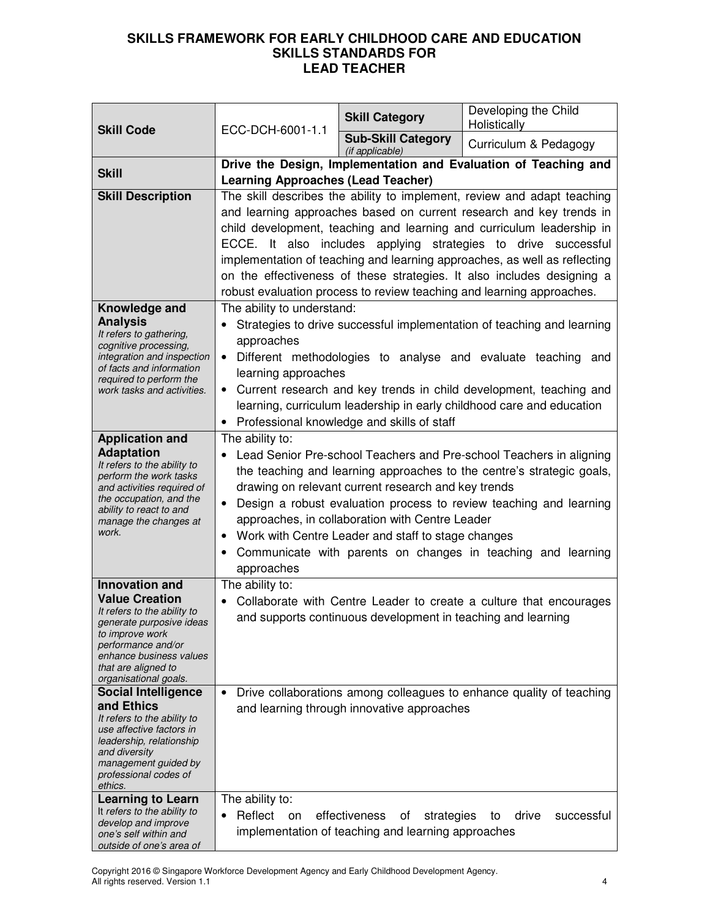| <b>Skill Code</b>                                                                                                                                                                                                                                                                                                                                         | ECC-DCH-6001-1.1                                                                                                                                                                                                                                                                                                                                                                                                                                                                                      | <b>Skill Category</b>                                                                   | Developing the Child<br>Holistically                                                                                                                                                                                                                                                                                                                                                                                                                                                                                      |
|-----------------------------------------------------------------------------------------------------------------------------------------------------------------------------------------------------------------------------------------------------------------------------------------------------------------------------------------------------------|-------------------------------------------------------------------------------------------------------------------------------------------------------------------------------------------------------------------------------------------------------------------------------------------------------------------------------------------------------------------------------------------------------------------------------------------------------------------------------------------------------|-----------------------------------------------------------------------------------------|---------------------------------------------------------------------------------------------------------------------------------------------------------------------------------------------------------------------------------------------------------------------------------------------------------------------------------------------------------------------------------------------------------------------------------------------------------------------------------------------------------------------------|
|                                                                                                                                                                                                                                                                                                                                                           |                                                                                                                                                                                                                                                                                                                                                                                                                                                                                                       | <b>Sub-Skill Category</b><br>(if applicable)                                            | Curriculum & Pedagogy                                                                                                                                                                                                                                                                                                                                                                                                                                                                                                     |
| <b>Skill</b>                                                                                                                                                                                                                                                                                                                                              | Drive the Design, Implementation and Evaluation of Teaching and                                                                                                                                                                                                                                                                                                                                                                                                                                       |                                                                                         |                                                                                                                                                                                                                                                                                                                                                                                                                                                                                                                           |
| <b>Skill Description</b>                                                                                                                                                                                                                                                                                                                                  | <b>Learning Approaches (Lead Teacher)</b>                                                                                                                                                                                                                                                                                                                                                                                                                                                             |                                                                                         | The skill describes the ability to implement, review and adapt teaching<br>and learning approaches based on current research and key trends in<br>child development, teaching and learning and curriculum leadership in<br>ECCE. It also includes applying strategies to drive successful<br>implementation of teaching and learning approaches, as well as reflecting<br>on the effectiveness of these strategies. It also includes designing a<br>robust evaluation process to review teaching and learning approaches. |
| Knowledge and<br><b>Analysis</b><br>It refers to gathering,<br>cognitive processing,<br>integration and inspection<br>of facts and information<br>required to perform the<br>work tasks and activities.                                                                                                                                                   | The ability to understand:<br>approaches<br>$\bullet$<br>learning approaches<br>$\bullet$                                                                                                                                                                                                                                                                                                                                                                                                             | Professional knowledge and skills of staff                                              | Strategies to drive successful implementation of teaching and learning<br>Different methodologies to analyse and evaluate teaching and<br>Current research and key trends in child development, teaching and<br>learning, curriculum leadership in early childhood care and education                                                                                                                                                                                                                                     |
| <b>Application and</b><br><b>Adaptation</b><br>It refers to the ability to<br>perform the work tasks<br>and activities required of<br>the occupation, and the<br>ability to react to and<br>manage the changes at<br>work.                                                                                                                                | The ability to:<br>Lead Senior Pre-school Teachers and Pre-school Teachers in aligning<br>the teaching and learning approaches to the centre's strategic goals,<br>drawing on relevant current research and key trends<br>Design a robust evaluation process to review teaching and learning<br>$\bullet$<br>approaches, in collaboration with Centre Leader<br>Work with Centre Leader and staff to stage changes<br>٠<br>Communicate with parents on changes in teaching and learning<br>approaches |                                                                                         |                                                                                                                                                                                                                                                                                                                                                                                                                                                                                                                           |
| Innovation and<br><b>Value Creation</b><br>It refers to the ability to<br>generate purposive ideas<br>to improve work<br>performance and/or<br>enhance business values<br>that are aligned to<br>organisational goals.<br><b>Social Intelligence</b><br>and Ethics<br>It refers to the ability to<br>use affective factors in<br>leadership, relationship | The ability to:<br>Collaborate with Centre Leader to create a culture that encourages<br>and supports continuous development in teaching and learning<br>Drive collaborations among colleagues to enhance quality of teaching<br>and learning through innovative approaches                                                                                                                                                                                                                           |                                                                                         |                                                                                                                                                                                                                                                                                                                                                                                                                                                                                                                           |
| and diversity<br>management guided by<br>professional codes of<br>ethics.<br><b>Learning to Learn</b><br>It refers to the ability to<br>develop and improve<br>one's self within and<br>outside of one's area of                                                                                                                                          | The ability to:<br>Reflect<br>on<br>$\bullet$                                                                                                                                                                                                                                                                                                                                                                                                                                                         | effectiveness<br>strategies<br>οf<br>implementation of teaching and learning approaches | drive<br>successful<br>to                                                                                                                                                                                                                                                                                                                                                                                                                                                                                                 |

Copyright 2016 © Singapore Workforce Development Agency and Early Childhood Development Agency. All rights reserved. Version 1.1 4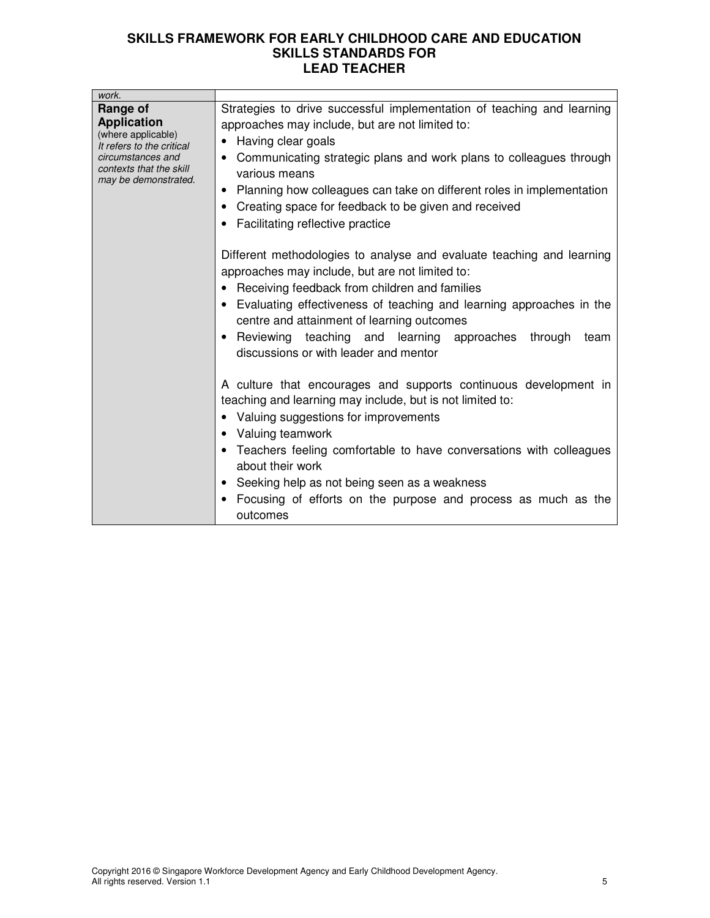| work.                                                                                                                                                     |                                                                                                                                                                                                                                                                                                                                                                                                                            |
|-----------------------------------------------------------------------------------------------------------------------------------------------------------|----------------------------------------------------------------------------------------------------------------------------------------------------------------------------------------------------------------------------------------------------------------------------------------------------------------------------------------------------------------------------------------------------------------------------|
| Range of<br><b>Application</b><br>(where applicable)<br>It refers to the critical<br>circumstances and<br>contexts that the skill<br>may be demonstrated. | Strategies to drive successful implementation of teaching and learning<br>approaches may include, but are not limited to:<br>Having clear goals<br>$\bullet$<br>• Communicating strategic plans and work plans to colleagues through<br>various means<br>Planning how colleagues can take on different roles in implementation<br>Creating space for feedback to be given and received<br>Facilitating reflective practice |
|                                                                                                                                                           | Different methodologies to analyse and evaluate teaching and learning<br>approaches may include, but are not limited to:<br>Receiving feedback from children and families<br>• Evaluating effectiveness of teaching and learning approaches in the<br>centre and attainment of learning outcomes<br>Reviewing teaching and learning approaches<br>through<br>team<br>discussions or with leader and mentor                 |
|                                                                                                                                                           | A culture that encourages and supports continuous development in<br>teaching and learning may include, but is not limited to:<br>Valuing suggestions for improvements<br>Valuing teamwork<br>• Teachers feeling comfortable to have conversations with colleagues<br>about their work<br>Seeking help as not being seen as a weakness<br>Focusing of efforts on the purpose and process as much as the<br>outcomes         |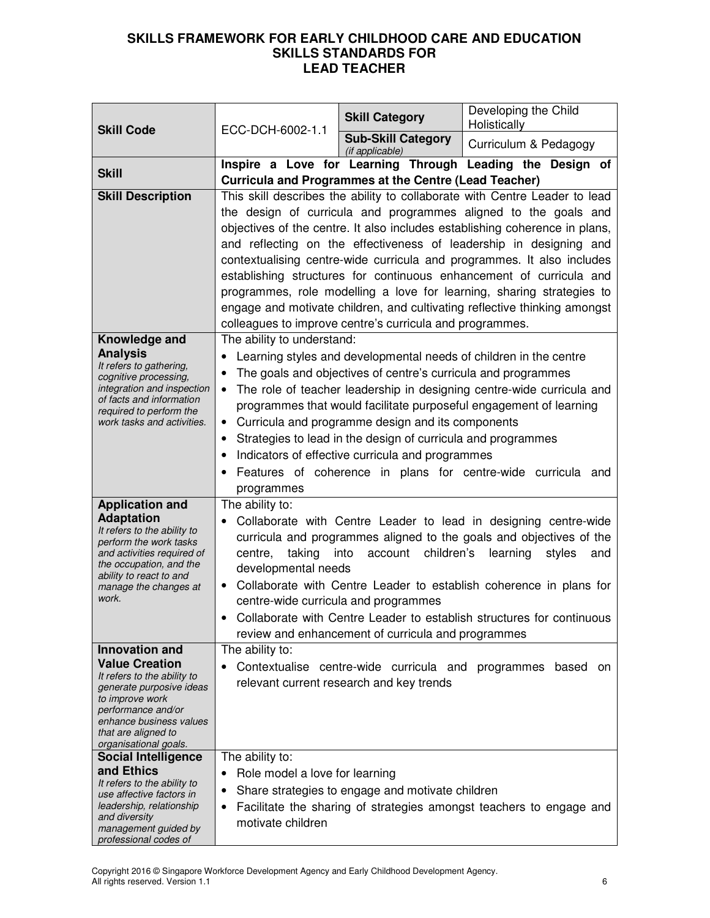| <b>Skill Code</b>                                                                                                                                                                                                             | ECC-DCH-6002-1.1                                                                                                                                                                                                                                                                                                                                                                                                                                                                                                                                                                                                                                                      | <b>Skill Category</b>                                                                                                                                                                                                                  | Developing the Child<br>Holistically                                                                                                                                                                                                                                                                               |
|-------------------------------------------------------------------------------------------------------------------------------------------------------------------------------------------------------------------------------|-----------------------------------------------------------------------------------------------------------------------------------------------------------------------------------------------------------------------------------------------------------------------------------------------------------------------------------------------------------------------------------------------------------------------------------------------------------------------------------------------------------------------------------------------------------------------------------------------------------------------------------------------------------------------|----------------------------------------------------------------------------------------------------------------------------------------------------------------------------------------------------------------------------------------|--------------------------------------------------------------------------------------------------------------------------------------------------------------------------------------------------------------------------------------------------------------------------------------------------------------------|
|                                                                                                                                                                                                                               |                                                                                                                                                                                                                                                                                                                                                                                                                                                                                                                                                                                                                                                                       | <b>Sub-Skill Category</b><br>(if applicable)                                                                                                                                                                                           | Curriculum & Pedagogy                                                                                                                                                                                                                                                                                              |
| <b>Skill</b>                                                                                                                                                                                                                  |                                                                                                                                                                                                                                                                                                                                                                                                                                                                                                                                                                                                                                                                       | <b>Curricula and Programmes at the Centre (Lead Teacher)</b>                                                                                                                                                                           | Inspire a Love for Learning Through Leading the Design of                                                                                                                                                                                                                                                          |
| <b>Skill Description</b>                                                                                                                                                                                                      | This skill describes the ability to collaborate with Centre Leader to lead<br>the design of curricula and programmes aligned to the goals and<br>objectives of the centre. It also includes establishing coherence in plans,<br>and reflecting on the effectiveness of leadership in designing and<br>contextualising centre-wide curricula and programmes. It also includes<br>establishing structures for continuous enhancement of curricula and<br>programmes, role modelling a love for learning, sharing strategies to<br>engage and motivate children, and cultivating reflective thinking amongst<br>colleagues to improve centre's curricula and programmes. |                                                                                                                                                                                                                                        |                                                                                                                                                                                                                                                                                                                    |
| Knowledge and<br><b>Analysis</b><br>It refers to gathering,<br>cognitive processing,<br>integration and inspection<br>of facts and information<br>required to perform the<br>work tasks and activities.                       | The ability to understand:<br>$\bullet$<br>٠<br>٠<br>$\bullet$<br>٠<br>programmes                                                                                                                                                                                                                                                                                                                                                                                                                                                                                                                                                                                     | The goals and objectives of centre's curricula and programmes<br>Curricula and programme design and its components<br>Strategies to lead in the design of curricula and programmes<br>Indicators of effective curricula and programmes | Learning styles and developmental needs of children in the centre<br>The role of teacher leadership in designing centre-wide curricula and<br>programmes that would facilitate purposeful engagement of learning<br>Features of coherence in plans for centre-wide curricula and                                   |
| <b>Application and</b><br><b>Adaptation</b><br>It refers to the ability to<br>perform the work tasks<br>and activities required of<br>the occupation, and the<br>ability to react to and<br>manage the changes at<br>work.    | The ability to:<br>taking<br>centre,<br>developmental needs                                                                                                                                                                                                                                                                                                                                                                                                                                                                                                                                                                                                           | into<br>account children's<br>centre-wide curricula and programmes<br>review and enhancement of curricula and programmes                                                                                                               | Collaborate with Centre Leader to lead in designing centre-wide<br>curricula and programmes aligned to the goals and objectives of the<br>learning<br>styles<br>and<br>Collaborate with Centre Leader to establish coherence in plans for<br>Collaborate with Centre Leader to establish structures for continuous |
| <b>Innovation and</b><br><b>Value Creation</b><br>It refers to the ability to<br>generate purposive ideas<br>to improve work<br>performance and/or<br>enhance business values<br>that are aligned to<br>organisational goals. | The ability to:                                                                                                                                                                                                                                                                                                                                                                                                                                                                                                                                                                                                                                                       | Contextualise centre-wide curricula and<br>relevant current research and key trends                                                                                                                                                    | programmes<br>based<br>on                                                                                                                                                                                                                                                                                          |
| <b>Social Intelligence</b><br>and Ethics<br>It refers to the ability to<br>use affective factors in<br>leadership, relationship<br>and diversity<br>management guided by<br>professional codes of                             | The ability to:<br>Role model a love for learning<br>$\bullet$<br>٠<br>٠<br>motivate children                                                                                                                                                                                                                                                                                                                                                                                                                                                                                                                                                                         | Share strategies to engage and motivate children                                                                                                                                                                                       | Facilitate the sharing of strategies amongst teachers to engage and                                                                                                                                                                                                                                                |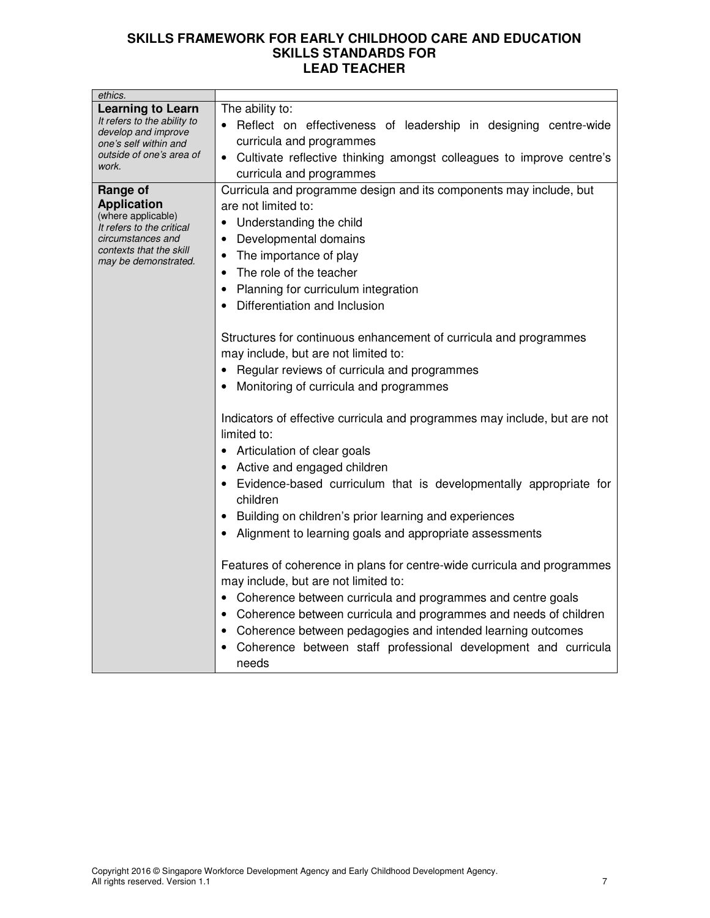| ethics.                                                                                                                                                   |                                                                                                                                                                                                                                                                                                                                                                                                                                                                                                                                                                                                                                                                                                                                                                                                                                                                                                                                                                                            |
|-----------------------------------------------------------------------------------------------------------------------------------------------------------|--------------------------------------------------------------------------------------------------------------------------------------------------------------------------------------------------------------------------------------------------------------------------------------------------------------------------------------------------------------------------------------------------------------------------------------------------------------------------------------------------------------------------------------------------------------------------------------------------------------------------------------------------------------------------------------------------------------------------------------------------------------------------------------------------------------------------------------------------------------------------------------------------------------------------------------------------------------------------------------------|
| <b>Learning to Learn</b><br>It refers to the ability to<br>develop and improve<br>one's self within and<br>outside of one's area of<br>work.              | The ability to:<br>• Reflect on effectiveness of leadership in designing centre-wide<br>curricula and programmes<br>• Cultivate reflective thinking amongst colleagues to improve centre's                                                                                                                                                                                                                                                                                                                                                                                                                                                                                                                                                                                                                                                                                                                                                                                                 |
| Range of<br><b>Application</b><br>(where applicable)<br>It refers to the critical<br>circumstances and<br>contexts that the skill<br>may be demonstrated. | curricula and programmes<br>Curricula and programme design and its components may include, but<br>are not limited to:<br>• Understanding the child<br>Developmental domains<br>$\bullet$<br>• The importance of play<br>The role of the teacher<br>$\bullet$<br>Planning for curriculum integration<br>Differentiation and Inclusion<br>Structures for continuous enhancement of curricula and programmes<br>may include, but are not limited to:<br>Regular reviews of curricula and programmes<br>Monitoring of curricula and programmes<br>Indicators of effective curricula and programmes may include, but are not<br>limited to:<br>• Articulation of clear goals<br>• Active and engaged children<br>• Evidence-based curriculum that is developmentally appropriate for<br>children<br>Building on children's prior learning and experiences<br>Alignment to learning goals and appropriate assessments<br>Features of coherence in plans for centre-wide curricula and programmes |
|                                                                                                                                                           | may include, but are not limited to:<br>• Coherence between curricula and programmes and centre goals<br>• Coherence between curricula and programmes and needs of children<br>• Coherence between pedagogies and intended learning outcomes<br>Coherence between staff professional development and curricula<br>needs                                                                                                                                                                                                                                                                                                                                                                                                                                                                                                                                                                                                                                                                    |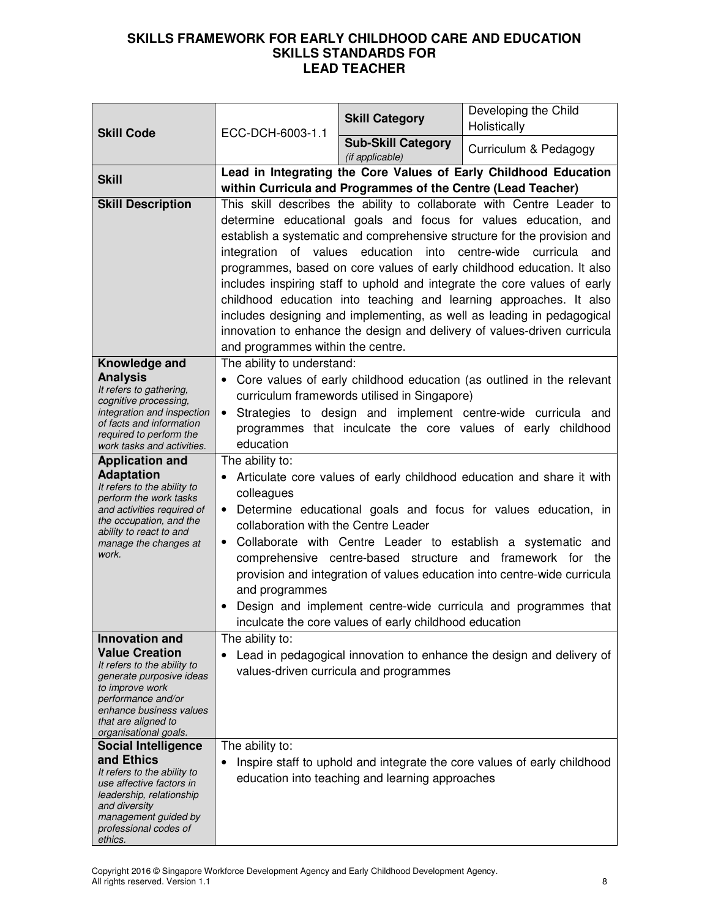|                                                         |                                                                                                        | <b>Skill Category</b>                                        | Developing the Child<br>Holistically                                                                                                               |
|---------------------------------------------------------|--------------------------------------------------------------------------------------------------------|--------------------------------------------------------------|----------------------------------------------------------------------------------------------------------------------------------------------------|
| <b>Skill Code</b>                                       | ECC-DCH-6003-1.1                                                                                       | <b>Sub-Skill Category</b>                                    |                                                                                                                                                    |
|                                                         |                                                                                                        | (if applicable)                                              | Curriculum & Pedagogy                                                                                                                              |
| <b>Skill</b>                                            |                                                                                                        |                                                              | Lead in Integrating the Core Values of Early Childhood Education                                                                                   |
|                                                         |                                                                                                        | within Curricula and Programmes of the Centre (Lead Teacher) |                                                                                                                                                    |
| <b>Skill Description</b>                                |                                                                                                        |                                                              | This skill describes the ability to collaborate with Centre Leader to<br>determine educational goals and focus for values education, and           |
|                                                         |                                                                                                        |                                                              | establish a systematic and comprehensive structure for the provision and                                                                           |
|                                                         | integration of values education                                                                        |                                                              | into centre-wide curricula and                                                                                                                     |
|                                                         |                                                                                                        |                                                              | programmes, based on core values of early childhood education. It also                                                                             |
|                                                         |                                                                                                        |                                                              | includes inspiring staff to uphold and integrate the core values of early                                                                          |
|                                                         |                                                                                                        |                                                              | childhood education into teaching and learning approaches. It also                                                                                 |
|                                                         |                                                                                                        |                                                              | includes designing and implementing, as well as leading in pedagogical<br>innovation to enhance the design and delivery of values-driven curricula |
|                                                         | and programmes within the centre.                                                                      |                                                              |                                                                                                                                                    |
| Knowledge and                                           | The ability to understand:                                                                             |                                                              |                                                                                                                                                    |
| <b>Analysis</b><br>It refers to gathering,              |                                                                                                        |                                                              | • Core values of early childhood education (as outlined in the relevant                                                                            |
| cognitive processing,                                   |                                                                                                        | curriculum framewords utilised in Singapore)                 |                                                                                                                                                    |
| integration and inspection<br>of facts and information  | $\bullet$                                                                                              |                                                              | Strategies to design and implement centre-wide curricula and                                                                                       |
| required to perform the<br>work tasks and activities.   | education                                                                                              |                                                              | programmes that inculcate the core values of early childhood                                                                                       |
| <b>Application and</b>                                  | The ability to:                                                                                        |                                                              |                                                                                                                                                    |
| <b>Adaptation</b><br>It refers to the ability to        |                                                                                                        |                                                              | Articulate core values of early childhood education and share it with                                                                              |
| perform the work tasks                                  | colleagues                                                                                             |                                                              |                                                                                                                                                    |
| and activities required of<br>the occupation, and the   | Determine educational goals and focus for values education, in<br>collaboration with the Centre Leader |                                                              |                                                                                                                                                    |
| ability to react to and<br>manage the changes at        | $\bullet$                                                                                              |                                                              | Collaborate with Centre Leader to establish a systematic and                                                                                       |
| work.                                                   |                                                                                                        |                                                              | comprehensive centre-based structure and framework for<br>the                                                                                      |
|                                                         |                                                                                                        |                                                              | provision and integration of values education into centre-wide curricula                                                                           |
|                                                         | and programmes                                                                                         |                                                              |                                                                                                                                                    |
|                                                         |                                                                                                        | inculcate the core values of early childhood education       | Design and implement centre-wide curricula and programmes that                                                                                     |
| Innovation and                                          | The ability to:                                                                                        |                                                              |                                                                                                                                                    |
| <b>Value Creation</b>                                   | $\bullet$                                                                                              |                                                              | Lead in pedagogical innovation to enhance the design and delivery of                                                                               |
| It refers to the ability to<br>generate purposive ideas |                                                                                                        | values-driven curricula and programmes                       |                                                                                                                                                    |
| to improve work<br>performance and/or                   |                                                                                                        |                                                              |                                                                                                                                                    |
| enhance business values                                 |                                                                                                        |                                                              |                                                                                                                                                    |
| that are aligned to<br>organisational goals.            |                                                                                                        |                                                              |                                                                                                                                                    |
| <b>Social Intelligence</b>                              | The ability to:                                                                                        |                                                              |                                                                                                                                                    |
| and Ethics<br>It refers to the ability to               |                                                                                                        |                                                              | Inspire staff to uphold and integrate the core values of early childhood                                                                           |
| use affective factors in                                |                                                                                                        | education into teaching and learning approaches              |                                                                                                                                                    |
| leadership, relationship<br>and diversity               |                                                                                                        |                                                              |                                                                                                                                                    |
| management guided by<br>professional codes of           |                                                                                                        |                                                              |                                                                                                                                                    |
| ethics.                                                 |                                                                                                        |                                                              |                                                                                                                                                    |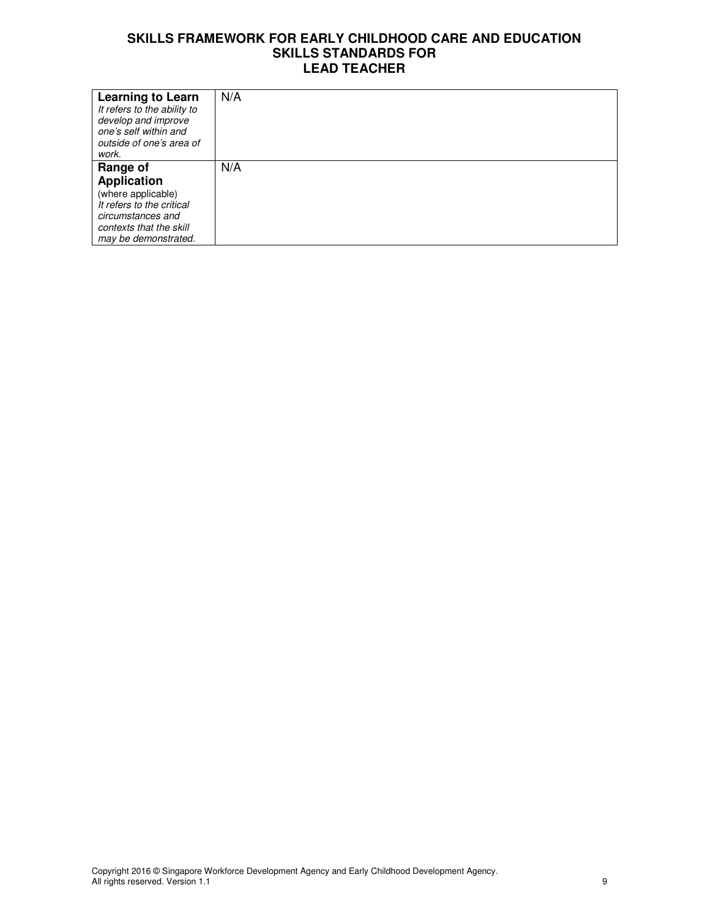| <b>Learning to Learn</b><br>It refers to the ability to<br>develop and improve<br>one's self within and<br>outside of one's area of<br>work. | N/A |
|----------------------------------------------------------------------------------------------------------------------------------------------|-----|
| Range of                                                                                                                                     | N/A |
| <b>Application</b>                                                                                                                           |     |
| (where applicable)                                                                                                                           |     |
| It refers to the critical                                                                                                                    |     |
| circumstances and                                                                                                                            |     |
| contexts that the skill                                                                                                                      |     |
| may be demonstrated.                                                                                                                         |     |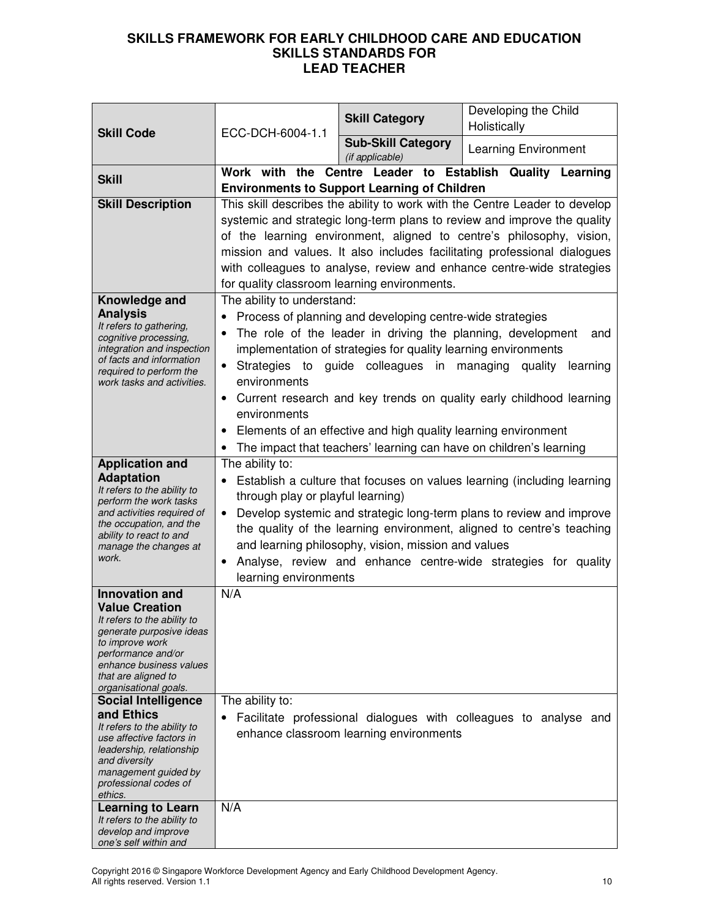| <b>Skill Code</b>                                                                                                                                                                                                             | ECC-DCH-6004-1.1                                                                                        | <b>Skill Category</b>                                     | Developing the Child<br>Holistically                                                                                                                                                                                                                                                                                                                                                                                    |
|-------------------------------------------------------------------------------------------------------------------------------------------------------------------------------------------------------------------------------|---------------------------------------------------------------------------------------------------------|-----------------------------------------------------------|-------------------------------------------------------------------------------------------------------------------------------------------------------------------------------------------------------------------------------------------------------------------------------------------------------------------------------------------------------------------------------------------------------------------------|
|                                                                                                                                                                                                                               |                                                                                                         | <b>Sub-Skill Category</b><br>(if applicable)              | <b>Learning Environment</b>                                                                                                                                                                                                                                                                                                                                                                                             |
| <b>Skill</b>                                                                                                                                                                                                                  | <b>Environments to Support Learning of Children</b>                                                     |                                                           | Work with the Centre Leader to Establish Quality Learning                                                                                                                                                                                                                                                                                                                                                               |
| <b>Skill Description</b>                                                                                                                                                                                                      | for quality classroom learning environments.                                                            |                                                           | This skill describes the ability to work with the Centre Leader to develop<br>systemic and strategic long-term plans to review and improve the quality<br>of the learning environment, aligned to centre's philosophy, vision,<br>mission and values. It also includes facilitating professional dialogues<br>with colleagues to analyse, review and enhance centre-wide strategies                                     |
| Knowledge and<br><b>Analysis</b><br>It refers to gathering,<br>cognitive processing,<br>integration and inspection<br>of facts and information<br>required to perform the<br>work tasks and activities.                       | The ability to understand:<br>environments<br>environments<br>٠                                         | Process of planning and developing centre-wide strategies | The role of the leader in driving the planning, development<br>and<br>implementation of strategies for quality learning environments<br>Strategies to guide colleagues in managing quality<br>learning<br>• Current research and key trends on quality early childhood learning<br>Elements of an effective and high quality learning environment<br>The impact that teachers' learning can have on children's learning |
| <b>Application and</b><br><b>Adaptation</b><br>It refers to the ability to<br>perform the work tasks<br>and activities required of<br>the occupation, and the<br>ability to react to and<br>manage the changes at<br>work.    | The ability to:<br>$\bullet$<br>through play or playful learning)<br>$\bullet$<br>learning environments | and learning philosophy, vision, mission and values       | Establish a culture that focuses on values learning (including learning<br>Develop systemic and strategic long-term plans to review and improve<br>the quality of the learning environment, aligned to centre's teaching<br>Analyse, review and enhance centre-wide strategies for quality                                                                                                                              |
| <b>Innovation and</b><br><b>Value Creation</b><br>It refers to the ability to<br>generate purposive ideas<br>to improve work<br>performance and/or<br>enhance business values<br>that are aligned to<br>organisational goals. | N/A                                                                                                     |                                                           |                                                                                                                                                                                                                                                                                                                                                                                                                         |
| <b>Social Intelligence</b><br>and Ethics<br>It refers to the ability to<br>use affective factors in<br>leadership, relationship<br>and diversity<br>management guided by<br>professional codes of<br>ethics.                  | The ability to:                                                                                         | enhance classroom learning environments                   | Facilitate professional dialogues with colleagues to analyse and                                                                                                                                                                                                                                                                                                                                                        |
| <b>Learning to Learn</b><br>It refers to the ability to<br>develop and improve<br>one's self within and                                                                                                                       | N/A                                                                                                     |                                                           |                                                                                                                                                                                                                                                                                                                                                                                                                         |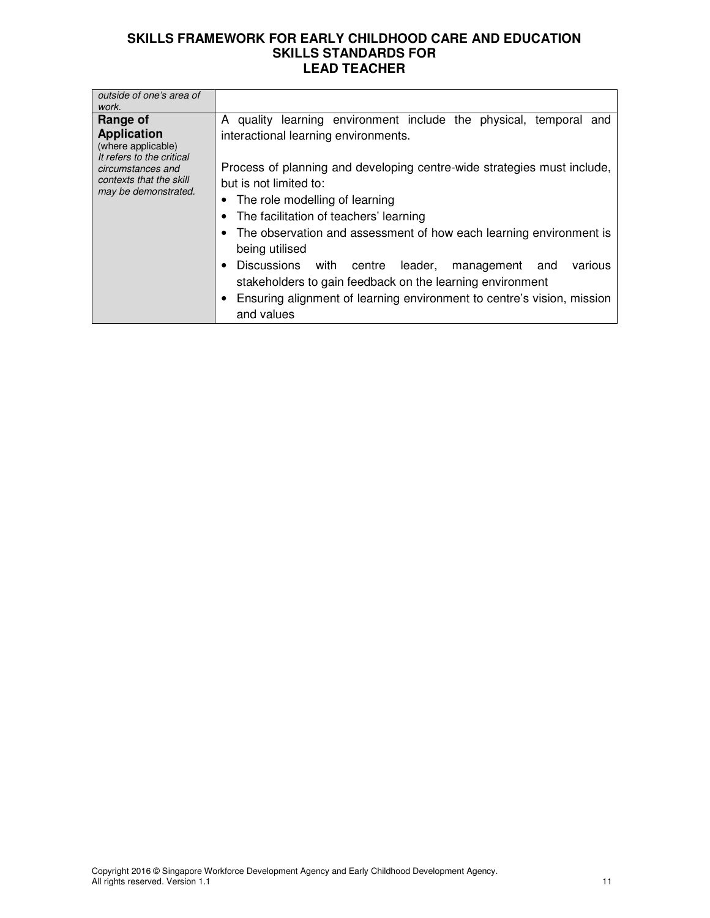| outside of one's area of<br>work.                                                                                                                         |                                                                                                                                                                                                                                                                                                                                                                                                                       |
|-----------------------------------------------------------------------------------------------------------------------------------------------------------|-----------------------------------------------------------------------------------------------------------------------------------------------------------------------------------------------------------------------------------------------------------------------------------------------------------------------------------------------------------------------------------------------------------------------|
| Range of<br><b>Application</b><br>(where applicable)<br>It refers to the critical<br>circumstances and<br>contexts that the skill<br>may be demonstrated. | A quality learning environment include the physical, temporal and<br>interactional learning environments.<br>Process of planning and developing centre-wide strategies must include,<br>but is not limited to:<br>• The role modelling of learning<br>The facilitation of teachers' learning<br>The observation and assessment of how each learning environment is<br>being utilised<br><b>Discussions</b><br>various |
|                                                                                                                                                           | with centre<br>leader,<br>management<br>and<br>stakeholders to gain feedback on the learning environment<br>Ensuring alignment of learning environment to centre's vision, mission<br>and values                                                                                                                                                                                                                      |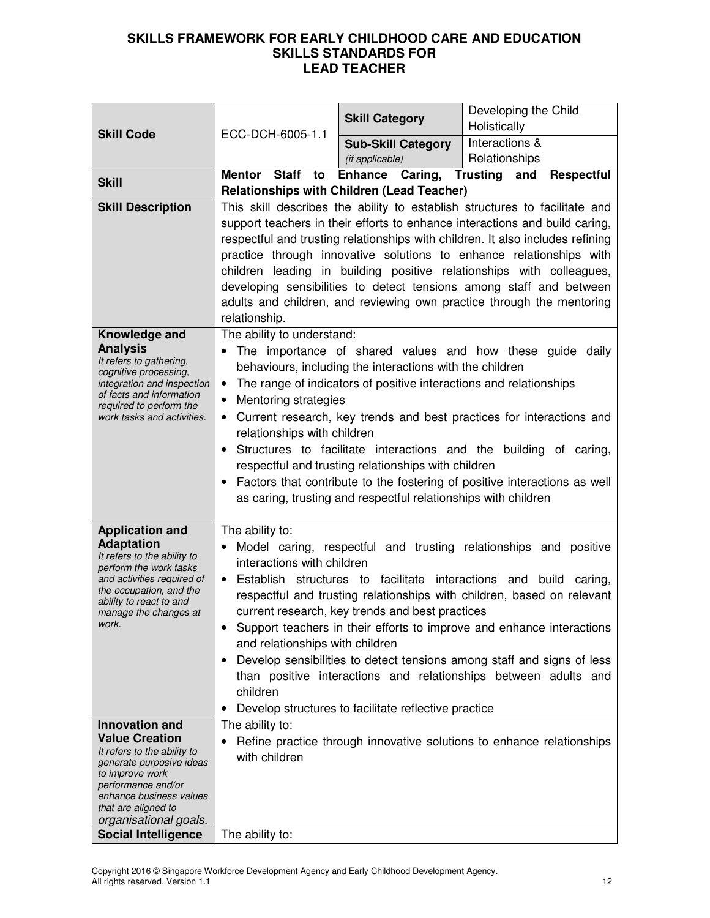|                                                      | ECC-DCH-6005-1.1                                                               | <b>Skill Category</b>                                              | Developing the Child                                                       |
|------------------------------------------------------|--------------------------------------------------------------------------------|--------------------------------------------------------------------|----------------------------------------------------------------------------|
| <b>Skill Code</b>                                    |                                                                                |                                                                    | Holistically<br>Interactions &                                             |
|                                                      |                                                                                | <b>Sub-Skill Category</b><br>(if applicable)                       | Relationships                                                              |
|                                                      | Mentor Staff<br>to                                                             | Enhance Caring, Trusting and                                       | <b>Respectful</b>                                                          |
| <b>Skill</b>                                         |                                                                                | <b>Relationships with Children (Lead Teacher)</b>                  |                                                                            |
| <b>Skill Description</b>                             |                                                                                |                                                                    | This skill describes the ability to establish structures to facilitate and |
|                                                      | support teachers in their efforts to enhance interactions and build caring,    |                                                                    |                                                                            |
|                                                      | respectful and trusting relationships with children. It also includes refining |                                                                    |                                                                            |
|                                                      | practice through innovative solutions to enhance relationships with            |                                                                    |                                                                            |
|                                                      | children leading in building positive relationships with colleagues,           |                                                                    |                                                                            |
|                                                      | developing sensibilities to detect tensions among staff and between            |                                                                    |                                                                            |
|                                                      | adults and children, and reviewing own practice through the mentoring          |                                                                    |                                                                            |
|                                                      | relationship.                                                                  |                                                                    |                                                                            |
| Knowledge and                                        | The ability to understand:                                                     |                                                                    |                                                                            |
| <b>Analysis</b>                                      |                                                                                |                                                                    | The importance of shared values and how these guide daily                  |
| It refers to gathering,<br>cognitive processing,     |                                                                                | behaviours, including the interactions with the children           |                                                                            |
| integration and inspection                           | $\bullet$                                                                      | The range of indicators of positive interactions and relationships |                                                                            |
| of facts and information<br>required to perform the  | Mentoring strategies                                                           |                                                                    |                                                                            |
| work tasks and activities.                           | Current research, key trends and best practices for interactions and           |                                                                    |                                                                            |
|                                                      | relationships with children                                                    |                                                                    |                                                                            |
|                                                      | Structures to facilitate interactions and the building of caring,              |                                                                    |                                                                            |
|                                                      | respectful and trusting relationships with children                            |                                                                    |                                                                            |
|                                                      | • Factors that contribute to the fostering of positive interactions as well    |                                                                    |                                                                            |
|                                                      |                                                                                | as caring, trusting and respectful relationships with children     |                                                                            |
|                                                      |                                                                                |                                                                    |                                                                            |
| <b>Application and</b><br><b>Adaptation</b>          | The ability to:                                                                |                                                                    |                                                                            |
| It refers to the ability to                          | interactions with children                                                     |                                                                    | Model caring, respectful and trusting relationships and positive           |
| perform the work tasks<br>and activities required of |                                                                                |                                                                    | • Establish structures to facilitate interactions and build caring,        |
| the occupation, and the                              |                                                                                |                                                                    | respectful and trusting relationships with children, based on relevant     |
| ability to react to and<br>manage the changes at     |                                                                                | current research, key trends and best practices                    |                                                                            |
| work.                                                |                                                                                |                                                                    | Support teachers in their efforts to improve and enhance interactions      |
|                                                      | and relationships with children                                                |                                                                    |                                                                            |
|                                                      | ٠                                                                              |                                                                    | Develop sensibilities to detect tensions among staff and signs of less     |
|                                                      |                                                                                |                                                                    | than positive interactions and relationships between adults and            |
|                                                      | children                                                                       |                                                                    |                                                                            |
|                                                      |                                                                                | Develop structures to facilitate reflective practice               |                                                                            |
| <b>Innovation and</b>                                | The ability to:                                                                |                                                                    |                                                                            |
| <b>Value Creation</b><br>It refers to the ability to |                                                                                |                                                                    | Refine practice through innovative solutions to enhance relationships      |
| generate purposive ideas                             | with children                                                                  |                                                                    |                                                                            |
| to improve work                                      |                                                                                |                                                                    |                                                                            |
| performance and/or<br>enhance business values        |                                                                                |                                                                    |                                                                            |
| that are aligned to                                  |                                                                                |                                                                    |                                                                            |
| organisational goals.<br><b>Social Intelligence</b>  | The ability to:                                                                |                                                                    |                                                                            |
|                                                      |                                                                                |                                                                    |                                                                            |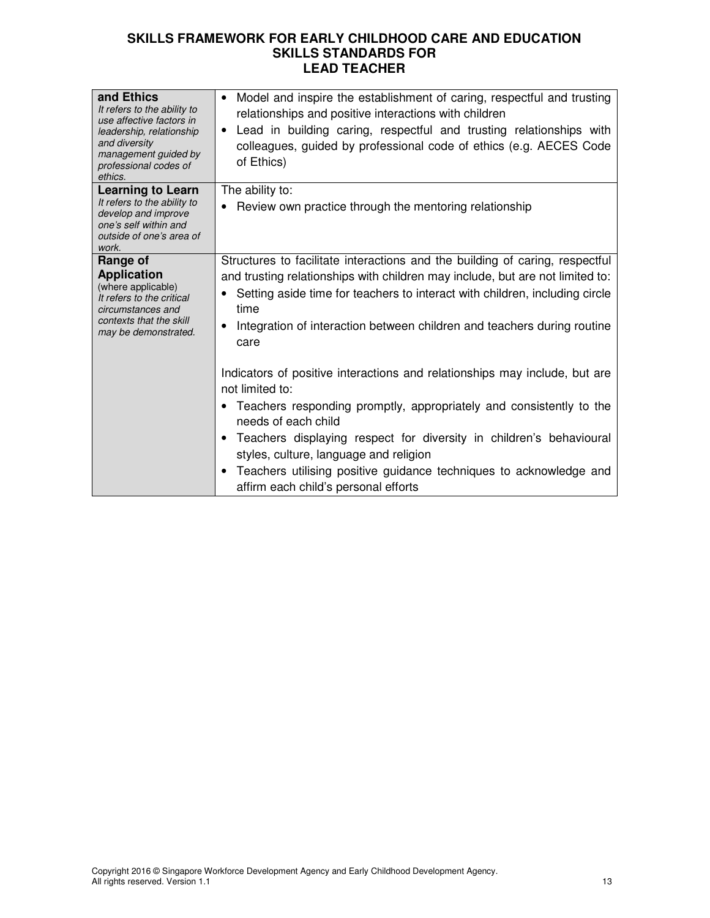| and Ethics<br>It refers to the ability to<br>use affective factors in<br>leadership, relationship<br>and diversity<br>management guided by<br>professional codes of<br>ethics. | Model and inspire the establishment of caring, respectful and trusting<br>$\bullet$<br>relationships and positive interactions with children<br>Lead in building caring, respectful and trusting relationships with<br>$\bullet$<br>colleagues, guided by professional code of ethics (e.g. AECES Code<br>of Ethics)                                                                                                                           |
|--------------------------------------------------------------------------------------------------------------------------------------------------------------------------------|------------------------------------------------------------------------------------------------------------------------------------------------------------------------------------------------------------------------------------------------------------------------------------------------------------------------------------------------------------------------------------------------------------------------------------------------|
| <b>Learning to Learn</b><br>It refers to the ability to<br>develop and improve<br>one's self within and<br>outside of one's area of<br>work.                                   | The ability to:<br>Review own practice through the mentoring relationship                                                                                                                                                                                                                                                                                                                                                                      |
| Range of<br><b>Application</b><br>(where applicable)<br>It refers to the critical<br>circumstances and<br>contexts that the skill<br>may be demonstrated.                      | Structures to facilitate interactions and the building of caring, respectful<br>and trusting relationships with children may include, but are not limited to:<br>Setting aside time for teachers to interact with children, including circle<br>time<br>Integration of interaction between children and teachers during routine<br>$\bullet$<br>care                                                                                           |
|                                                                                                                                                                                | Indicators of positive interactions and relationships may include, but are<br>not limited to:<br>• Teachers responding promptly, appropriately and consistently to the<br>needs of each child<br>Teachers displaying respect for diversity in children's behavioural<br>$\bullet$<br>styles, culture, language and religion<br>Teachers utilising positive guidance techniques to acknowledge and<br>٠<br>affirm each child's personal efforts |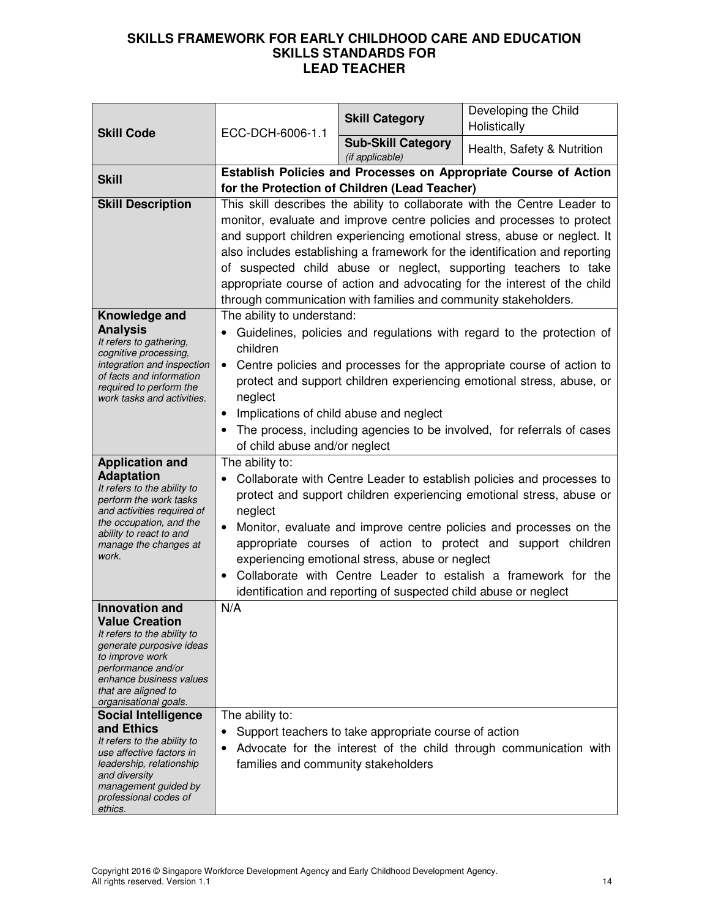| <b>Skill Code</b>                                                                                                                                                                                                                                           | ECC-DCH-6006-1.1                                                                                                                                        | <b>Skill Category</b>                                                                                               | Developing the Child<br>Holistically                                                                                                                                                                                                                                                                                                                                                                                                                            |  |
|-------------------------------------------------------------------------------------------------------------------------------------------------------------------------------------------------------------------------------------------------------------|---------------------------------------------------------------------------------------------------------------------------------------------------------|---------------------------------------------------------------------------------------------------------------------|-----------------------------------------------------------------------------------------------------------------------------------------------------------------------------------------------------------------------------------------------------------------------------------------------------------------------------------------------------------------------------------------------------------------------------------------------------------------|--|
|                                                                                                                                                                                                                                                             |                                                                                                                                                         | <b>Sub-Skill Category</b><br>(if applicable)                                                                        | Health, Safety & Nutrition                                                                                                                                                                                                                                                                                                                                                                                                                                      |  |
| <b>Skill</b>                                                                                                                                                                                                                                                |                                                                                                                                                         | Establish Policies and Processes on Appropriate Course of Action<br>for the Protection of Children (Lead Teacher)   |                                                                                                                                                                                                                                                                                                                                                                                                                                                                 |  |
| <b>Skill Description</b>                                                                                                                                                                                                                                    |                                                                                                                                                         | through communication with families and community stakeholders.                                                     | This skill describes the ability to collaborate with the Centre Leader to<br>monitor, evaluate and improve centre policies and processes to protect<br>and support children experiencing emotional stress, abuse or neglect. It<br>also includes establishing a framework for the identification and reporting<br>of suspected child abuse or neglect, supporting teachers to take<br>appropriate course of action and advocating for the interest of the child |  |
| Knowledge and<br><b>Analysis</b><br>It refers to gathering,<br>cognitive processing,<br>integration and inspection<br>of facts and information<br>required to perform the<br>work tasks and activities.                                                     | The ability to understand:<br>children<br>$\bullet$<br>neglect<br>Implications of child abuse and neglect<br>$\bullet$<br>of child abuse and/or neglect |                                                                                                                     | Guidelines, policies and regulations with regard to the protection of<br>Centre policies and processes for the appropriate course of action to<br>protect and support children experiencing emotional stress, abuse, or<br>The process, including agencies to be involved, for referrals of cases                                                                                                                                                               |  |
| <b>Application and</b><br><b>Adaptation</b><br>It refers to the ability to<br>perform the work tasks<br>and activities required of<br>the occupation, and the<br>ability to react to and<br>manage the changes at<br>work.                                  | The ability to:<br>neglect                                                                                                                              | experiencing emotional stress, abuse or neglect<br>identification and reporting of suspected child abuse or neglect | Collaborate with Centre Leader to establish policies and processes to<br>protect and support children experiencing emotional stress, abuse or<br>Monitor, evaluate and improve centre policies and processes on the<br>appropriate courses of action to protect and support children<br>Collaborate with Centre Leader to estalish a framework for the                                                                                                          |  |
| <b>Innovation and</b><br><b>Value Creation</b><br>It refers to the ability to<br>generate purposive ideas<br>to improve work<br>performance and/or<br>enhance business values<br>that are aligned to<br>organisational goals.<br><b>Social Intelligence</b> | N/A<br>The ability to:                                                                                                                                  |                                                                                                                     |                                                                                                                                                                                                                                                                                                                                                                                                                                                                 |  |
| and Ethics<br>It refers to the ability to<br>use affective factors in<br>leadership, relationship<br>and diversity<br>management guided by<br>professional codes of<br>ethics.                                                                              | ٠<br>families and community stakeholders                                                                                                                | Support teachers to take appropriate course of action                                                               | Advocate for the interest of the child through communication with                                                                                                                                                                                                                                                                                                                                                                                               |  |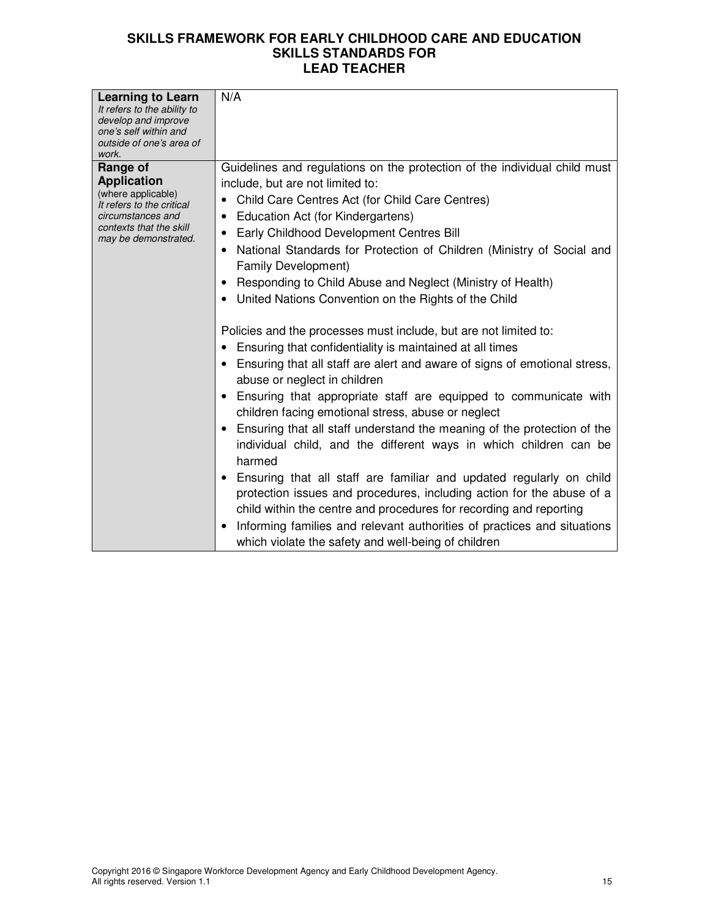| <b>Learning to Learn</b><br>It refers to the ability to<br>develop and improve<br>one's self within and<br>outside of one's area of<br>work.              | N/A                                                                                                                                                                                                                                                                                                                                                                                                                                                                                                                                                                                                                                                                                                                                                                                                                                                                                                                                                                                                                                                                                                                                                                                                                                                                                                                                                                     |
|-----------------------------------------------------------------------------------------------------------------------------------------------------------|-------------------------------------------------------------------------------------------------------------------------------------------------------------------------------------------------------------------------------------------------------------------------------------------------------------------------------------------------------------------------------------------------------------------------------------------------------------------------------------------------------------------------------------------------------------------------------------------------------------------------------------------------------------------------------------------------------------------------------------------------------------------------------------------------------------------------------------------------------------------------------------------------------------------------------------------------------------------------------------------------------------------------------------------------------------------------------------------------------------------------------------------------------------------------------------------------------------------------------------------------------------------------------------------------------------------------------------------------------------------------|
| Range of<br><b>Application</b><br>(where applicable)<br>It refers to the critical<br>circumstances and<br>contexts that the skill<br>may be demonstrated. | Guidelines and regulations on the protection of the individual child must<br>include, but are not limited to:<br>Child Care Centres Act (for Child Care Centres)<br><b>Education Act (for Kindergartens)</b><br>Early Childhood Development Centres Bill<br>National Standards for Protection of Children (Ministry of Social and<br>Family Development)<br>Responding to Child Abuse and Neglect (Ministry of Health)<br>United Nations Convention on the Rights of the Child<br>Policies and the processes must include, but are not limited to:<br>Ensuring that confidentiality is maintained at all times<br>Ensuring that all staff are alert and aware of signs of emotional stress,<br>abuse or neglect in children<br>Ensuring that appropriate staff are equipped to communicate with<br>children facing emotional stress, abuse or neglect<br>Ensuring that all staff understand the meaning of the protection of the<br>individual child, and the different ways in which children can be<br>harmed<br>Ensuring that all staff are familiar and updated regularly on child<br>protection issues and procedures, including action for the abuse of a<br>child within the centre and procedures for recording and reporting<br>Informing families and relevant authorities of practices and situations<br>which violate the safety and well-being of children |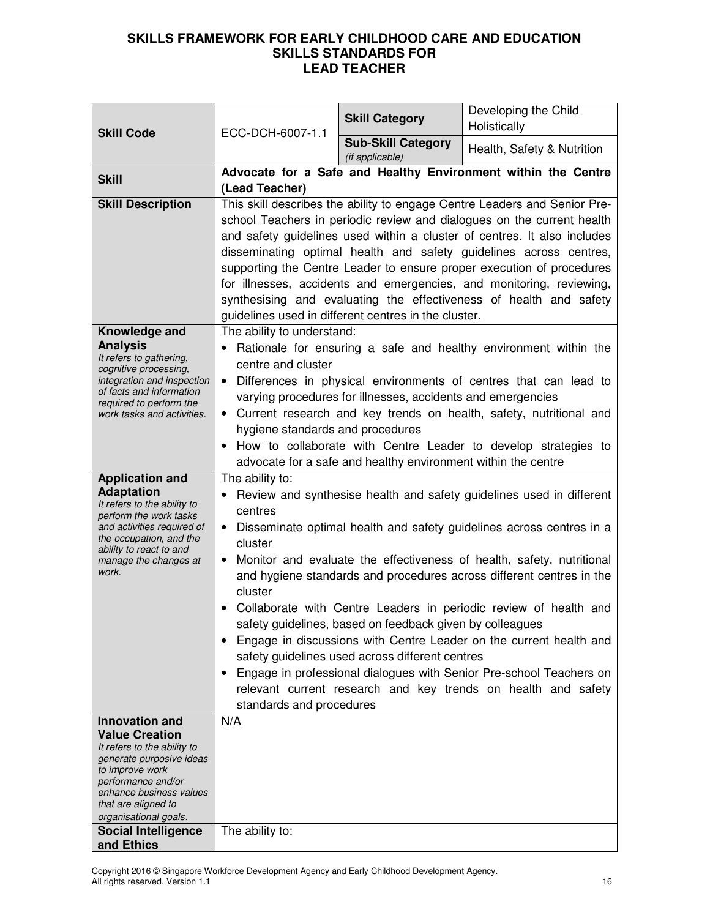|                                                        | ECC-DCH-6007-1.1<br><b>Skill Code</b>                                                                                        | <b>Skill Category</b>                                       | Developing the Child<br>Holistically                                                                                                               |  |
|--------------------------------------------------------|------------------------------------------------------------------------------------------------------------------------------|-------------------------------------------------------------|----------------------------------------------------------------------------------------------------------------------------------------------------|--|
|                                                        |                                                                                                                              | <b>Sub-Skill Category</b><br>(if applicable)                | Health, Safety & Nutrition                                                                                                                         |  |
| <b>Skill</b>                                           |                                                                                                                              |                                                             | Advocate for a Safe and Healthy Environment within the Centre                                                                                      |  |
|                                                        | (Lead Teacher)                                                                                                               |                                                             |                                                                                                                                                    |  |
| <b>Skill Description</b>                               |                                                                                                                              |                                                             | This skill describes the ability to engage Centre Leaders and Senior Pre-                                                                          |  |
|                                                        |                                                                                                                              |                                                             | school Teachers in periodic review and dialogues on the current health<br>and safety guidelines used within a cluster of centres. It also includes |  |
|                                                        |                                                                                                                              |                                                             | disseminating optimal health and safety guidelines across centres,                                                                                 |  |
|                                                        |                                                                                                                              |                                                             | supporting the Centre Leader to ensure proper execution of procedures                                                                              |  |
|                                                        |                                                                                                                              |                                                             | for illnesses, accidents and emergencies, and monitoring, reviewing,                                                                               |  |
|                                                        |                                                                                                                              |                                                             | synthesising and evaluating the effectiveness of health and safety                                                                                 |  |
|                                                        |                                                                                                                              | guidelines used in different centres in the cluster.        |                                                                                                                                                    |  |
| Knowledge and                                          | The ability to understand:                                                                                                   |                                                             |                                                                                                                                                    |  |
| <b>Analysis</b><br>It refers to gathering,             |                                                                                                                              |                                                             | • Rationale for ensuring a safe and healthy environment within the                                                                                 |  |
| cognitive processing,                                  | centre and cluster                                                                                                           |                                                             |                                                                                                                                                    |  |
| integration and inspection<br>of facts and information |                                                                                                                              |                                                             | Differences in physical environments of centres that can lead to                                                                                   |  |
| required to perform the                                |                                                                                                                              | varying procedures for illnesses, accidents and emergencies |                                                                                                                                                    |  |
| work tasks and activities.                             |                                                                                                                              |                                                             | • Current research and key trends on health, safety, nutritional and                                                                               |  |
|                                                        | hygiene standards and procedures                                                                                             |                                                             |                                                                                                                                                    |  |
|                                                        |                                                                                                                              |                                                             | How to collaborate with Centre Leader to develop strategies to                                                                                     |  |
| <b>Application and</b>                                 | advocate for a safe and healthy environment within the centre<br>The ability to:                                             |                                                             |                                                                                                                                                    |  |
| <b>Adaptation</b>                                      | $\bullet$                                                                                                                    |                                                             | Review and synthesise health and safety guidelines used in different                                                                               |  |
| It refers to the ability to<br>perform the work tasks  | centres                                                                                                                      |                                                             |                                                                                                                                                    |  |
| and activities required of                             | Disseminate optimal health and safety guidelines across centres in a<br>$\bullet$                                            |                                                             |                                                                                                                                                    |  |
| the occupation, and the<br>ability to react to and     | cluster                                                                                                                      |                                                             |                                                                                                                                                    |  |
| manage the changes at                                  | Monitor and evaluate the effectiveness of health, safety, nutritional<br>$\bullet$                                           |                                                             |                                                                                                                                                    |  |
| work.                                                  |                                                                                                                              |                                                             | and hygiene standards and procedures across different centres in the                                                                               |  |
|                                                        | cluster                                                                                                                      |                                                             |                                                                                                                                                    |  |
|                                                        | Collaborate with Centre Leaders in periodic review of health and<br>safety guidelines, based on feedback given by colleagues |                                                             |                                                                                                                                                    |  |
|                                                        |                                                                                                                              |                                                             |                                                                                                                                                    |  |
|                                                        | $\bullet$                                                                                                                    | safety guidelines used across different centres             | Engage in discussions with Centre Leader on the current health and                                                                                 |  |
|                                                        | ٠                                                                                                                            |                                                             | Engage in professional dialogues with Senior Pre-school Teachers on                                                                                |  |
|                                                        |                                                                                                                              |                                                             | relevant current research and key trends on health and safety                                                                                      |  |
|                                                        | standards and procedures                                                                                                     |                                                             |                                                                                                                                                    |  |
| <b>Innovation and</b>                                  | N/A                                                                                                                          |                                                             |                                                                                                                                                    |  |
| <b>Value Creation</b><br>It refers to the ability to   |                                                                                                                              |                                                             |                                                                                                                                                    |  |
| generate purposive ideas                               |                                                                                                                              |                                                             |                                                                                                                                                    |  |
| to improve work<br>performance and/or                  |                                                                                                                              |                                                             |                                                                                                                                                    |  |
| enhance business values                                |                                                                                                                              |                                                             |                                                                                                                                                    |  |
| that are aligned to                                    |                                                                                                                              |                                                             |                                                                                                                                                    |  |
| organisational goals.<br><b>Social Intelligence</b>    | The ability to:                                                                                                              |                                                             |                                                                                                                                                    |  |
| and Ethics                                             |                                                                                                                              |                                                             |                                                                                                                                                    |  |

Copyright 2016 © Singapore Workforce Development Agency and Early Childhood Development Agency. All rights reserved. Version 1.1 16 and 2012 16 and 2012 16 and 2012 16 and 2012 16 and 2012 16 and 2012 16 and 201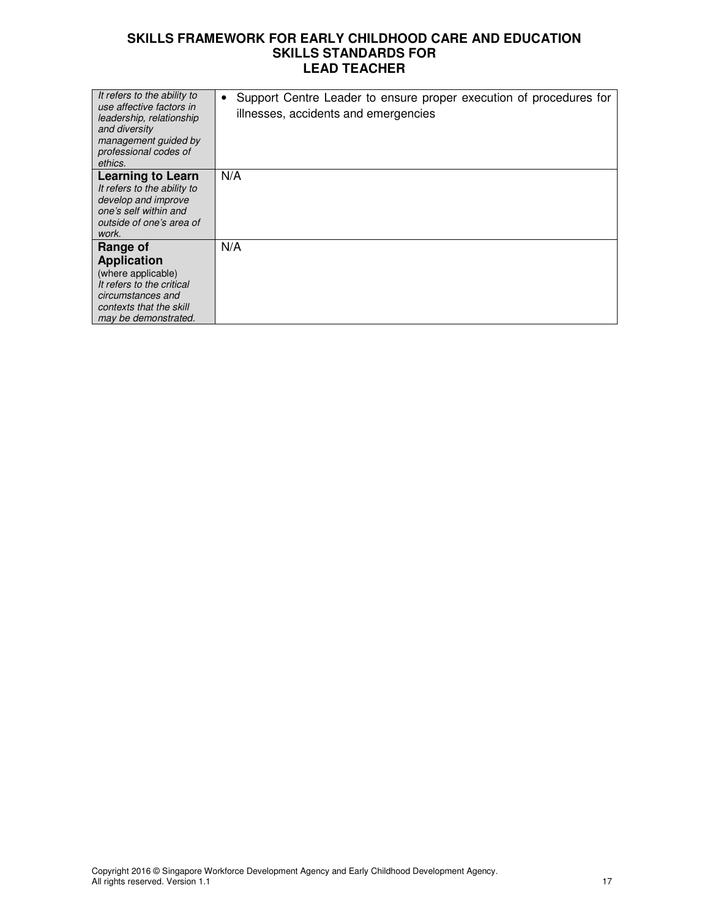| It refers to the ability to<br>use affective factors in<br>leadership, relationship<br>and diversity<br>management quided by<br>professional codes of<br>ethics. | Support Centre Leader to ensure proper execution of procedures for<br>$\bullet$<br>illnesses, accidents and emergencies |
|------------------------------------------------------------------------------------------------------------------------------------------------------------------|-------------------------------------------------------------------------------------------------------------------------|
| <b>Learning to Learn</b>                                                                                                                                         | N/A                                                                                                                     |
| It refers to the ability to                                                                                                                                      |                                                                                                                         |
| develop and improve<br>one's self within and                                                                                                                     |                                                                                                                         |
| outside of one's area of                                                                                                                                         |                                                                                                                         |
| work.                                                                                                                                                            |                                                                                                                         |
| Range of                                                                                                                                                         | N/A                                                                                                                     |
| <b>Application</b>                                                                                                                                               |                                                                                                                         |
| (where applicable)                                                                                                                                               |                                                                                                                         |
| It refers to the critical                                                                                                                                        |                                                                                                                         |
| circumstances and                                                                                                                                                |                                                                                                                         |
| contexts that the skill                                                                                                                                          |                                                                                                                         |
| may be demonstrated.                                                                                                                                             |                                                                                                                         |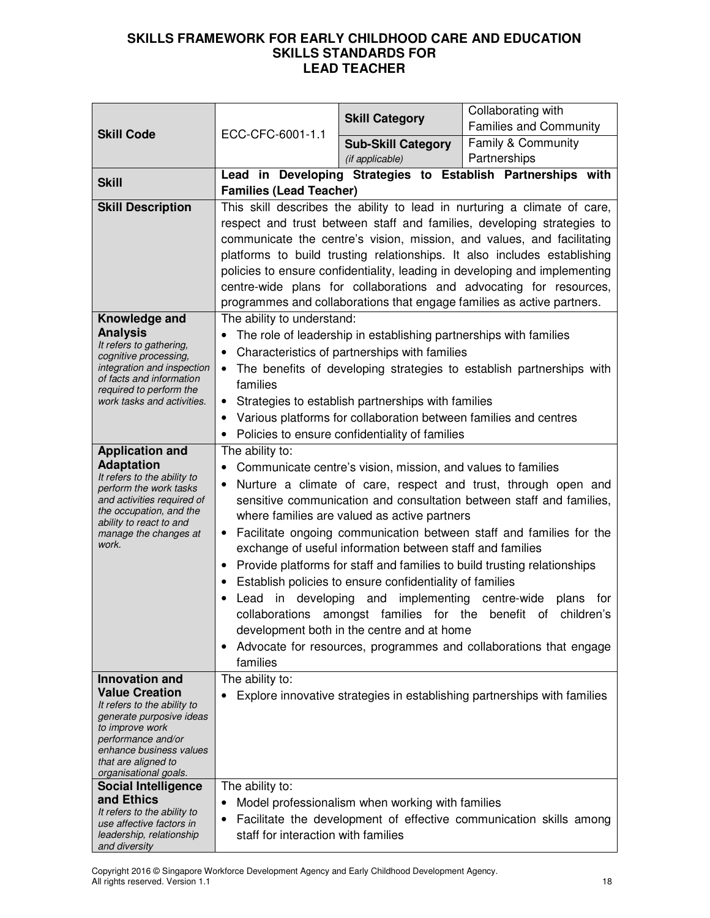| <b>Skill Code</b>                                                                                                      | ECC-CFC-6001-1.1                                                                                                                                                                                         | <b>Skill Category</b>                                             | Collaborating with<br><b>Families and Community</b>                                                                                          |
|------------------------------------------------------------------------------------------------------------------------|----------------------------------------------------------------------------------------------------------------------------------------------------------------------------------------------------------|-------------------------------------------------------------------|----------------------------------------------------------------------------------------------------------------------------------------------|
|                                                                                                                        |                                                                                                                                                                                                          | <b>Sub-Skill Category</b>                                         | Family & Community                                                                                                                           |
|                                                                                                                        |                                                                                                                                                                                                          | (if applicable)                                                   | Partnerships                                                                                                                                 |
| <b>Skill</b>                                                                                                           | <b>Families (Lead Teacher)</b>                                                                                                                                                                           |                                                                   | Lead in Developing Strategies to Establish Partnerships with                                                                                 |
| <b>Skill Description</b>                                                                                               |                                                                                                                                                                                                          |                                                                   | This skill describes the ability to lead in nurturing a climate of care,                                                                     |
|                                                                                                                        |                                                                                                                                                                                                          |                                                                   | respect and trust between staff and families, developing strategies to                                                                       |
|                                                                                                                        |                                                                                                                                                                                                          |                                                                   | communicate the centre's vision, mission, and values, and facilitating                                                                       |
|                                                                                                                        |                                                                                                                                                                                                          |                                                                   | platforms to build trusting relationships. It also includes establishing                                                                     |
|                                                                                                                        |                                                                                                                                                                                                          |                                                                   | policies to ensure confidentiality, leading in developing and implementing                                                                   |
|                                                                                                                        |                                                                                                                                                                                                          |                                                                   | centre-wide plans for collaborations and advocating for resources,<br>programmes and collaborations that engage families as active partners. |
| Knowledge and                                                                                                          | The ability to understand:                                                                                                                                                                               |                                                                   |                                                                                                                                              |
| <b>Analysis</b>                                                                                                        |                                                                                                                                                                                                          | The role of leadership in establishing partnerships with families |                                                                                                                                              |
| It refers to gathering,<br>cognitive processing,                                                                       | $\bullet$                                                                                                                                                                                                | Characteristics of partnerships with families                     |                                                                                                                                              |
| integration and inspection                                                                                             | $\bullet$                                                                                                                                                                                                |                                                                   | The benefits of developing strategies to establish partnerships with                                                                         |
| of facts and information<br>required to perform the                                                                    | families                                                                                                                                                                                                 |                                                                   |                                                                                                                                              |
| work tasks and activities.                                                                                             | ٠                                                                                                                                                                                                        | Strategies to establish partnerships with families                |                                                                                                                                              |
|                                                                                                                        | ٠                                                                                                                                                                                                        | Various platforms for collaboration between families and centres  |                                                                                                                                              |
|                                                                                                                        |                                                                                                                                                                                                          | Policies to ensure confidentiality of families                    |                                                                                                                                              |
| <b>Application and</b>                                                                                                 | The ability to:                                                                                                                                                                                          |                                                                   |                                                                                                                                              |
| <b>Adaptation</b><br>It refers to the ability to                                                                       | Communicate centre's vision, mission, and values to families                                                                                                                                             |                                                                   |                                                                                                                                              |
| Nurture a climate of care, respect and trust, through open and<br>perform the work tasks<br>and activities required of |                                                                                                                                                                                                          |                                                                   |                                                                                                                                              |
| the occupation, and the                                                                                                | sensitive communication and consultation between staff and families,<br>where families are valued as active partners<br>Facilitate ongoing communication between staff and families for the<br>$\bullet$ |                                                                   |                                                                                                                                              |
| ability to react to and<br>manage the changes at                                                                       |                                                                                                                                                                                                          |                                                                   |                                                                                                                                              |
| work.                                                                                                                  |                                                                                                                                                                                                          | exchange of useful information between staff and families         |                                                                                                                                              |
|                                                                                                                        | ٠                                                                                                                                                                                                        |                                                                   | Provide platforms for staff and families to build trusting relationships                                                                     |
|                                                                                                                        | $\bullet$                                                                                                                                                                                                | Establish policies to ensure confidentiality of families          |                                                                                                                                              |
|                                                                                                                        |                                                                                                                                                                                                          | Lead in developing and implementing centre-wide                   | plans<br>for                                                                                                                                 |
|                                                                                                                        |                                                                                                                                                                                                          | collaborations amongst families for the                           | children's<br>benefit<br>of                                                                                                                  |
|                                                                                                                        |                                                                                                                                                                                                          | development both in the centre and at home                        |                                                                                                                                              |
|                                                                                                                        | ٠<br>families                                                                                                                                                                                            |                                                                   | Advocate for resources, programmes and collaborations that engage                                                                            |
| <b>Innovation and</b>                                                                                                  | The ability to:                                                                                                                                                                                          |                                                                   |                                                                                                                                              |
| <b>Value Creation</b>                                                                                                  |                                                                                                                                                                                                          |                                                                   | Explore innovative strategies in establishing partnerships with families                                                                     |
| It refers to the ability to<br>generate purposive ideas                                                                |                                                                                                                                                                                                          |                                                                   |                                                                                                                                              |
| to improve work                                                                                                        |                                                                                                                                                                                                          |                                                                   |                                                                                                                                              |
| performance and/or<br>enhance business values                                                                          |                                                                                                                                                                                                          |                                                                   |                                                                                                                                              |
| that are aligned to<br>organisational goals.                                                                           |                                                                                                                                                                                                          |                                                                   |                                                                                                                                              |
| <b>Social Intelligence</b>                                                                                             | The ability to:                                                                                                                                                                                          |                                                                   |                                                                                                                                              |
| and Ethics                                                                                                             |                                                                                                                                                                                                          | Model professionalism when working with families                  |                                                                                                                                              |
| It refers to the ability to<br>use affective factors in                                                                | $\bullet$                                                                                                                                                                                                |                                                                   | Facilitate the development of effective communication skills among                                                                           |
| leadership, relationship<br>and diversity                                                                              | staff for interaction with families                                                                                                                                                                      |                                                                   |                                                                                                                                              |

Copyright 2016 © Singapore Workforce Development Agency and Early Childhood Development Agency. All rights reserved. Version 1.1 1888 and the control of the control of the control of the control of the control of the control of the control of the control of the control of the control of the control of the control of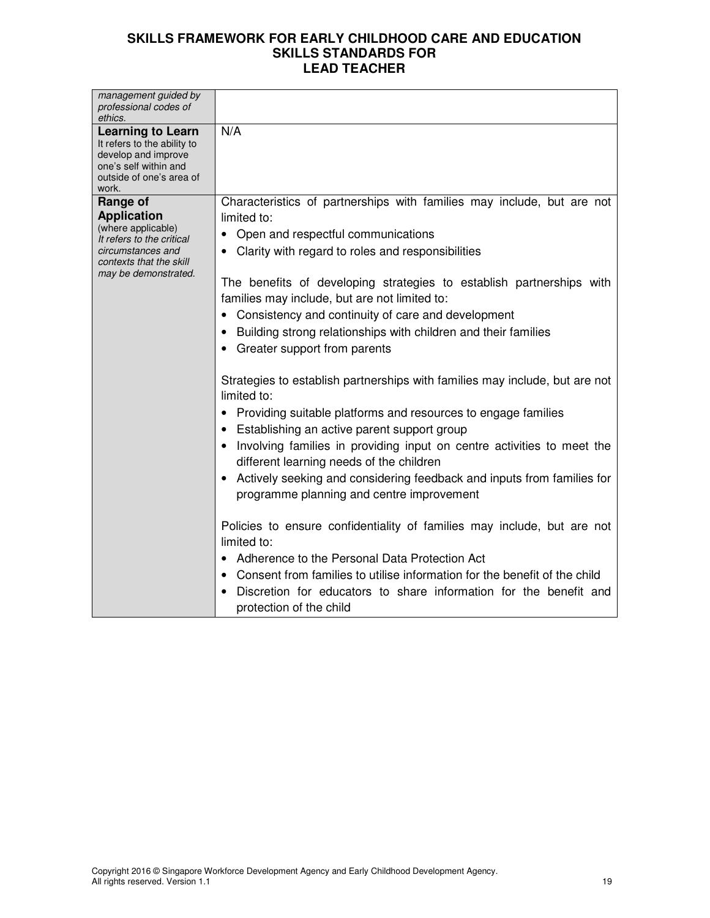| management guided by                                                                                                                         |                                                                                                                           |
|----------------------------------------------------------------------------------------------------------------------------------------------|---------------------------------------------------------------------------------------------------------------------------|
| professional codes of                                                                                                                        |                                                                                                                           |
| ethics.                                                                                                                                      |                                                                                                                           |
| <b>Learning to Learn</b><br>It refers to the ability to<br>develop and improve<br>one's self within and<br>outside of one's area of<br>work. | N/A                                                                                                                       |
| Range of<br><b>Application</b>                                                                                                               | Characteristics of partnerships with families may include, but are not<br>limited to:                                     |
| (where applicable)<br>It refers to the critical                                                                                              | Open and respectful communications                                                                                        |
| circumstances and<br>contexts that the skill                                                                                                 | • Clarity with regard to roles and responsibilities                                                                       |
| may be demonstrated.                                                                                                                         | The benefits of developing strategies to establish partnerships with<br>families may include, but are not limited to:     |
|                                                                                                                                              | Consistency and continuity of care and development                                                                        |
|                                                                                                                                              | Building strong relationships with children and their families                                                            |
|                                                                                                                                              | Greater support from parents                                                                                              |
|                                                                                                                                              | Strategies to establish partnerships with families may include, but are not<br>limited to:                                |
|                                                                                                                                              | Providing suitable platforms and resources to engage families<br>Establishing an active parent support group<br>$\bullet$ |
|                                                                                                                                              | Involving families in providing input on centre activities to meet the<br>different learning needs of the children        |
|                                                                                                                                              | Actively seeking and considering feedback and inputs from families for<br>programme planning and centre improvement       |
|                                                                                                                                              | Policies to ensure confidentiality of families may include, but are not<br>limited to:                                    |
|                                                                                                                                              | Adherence to the Personal Data Protection Act                                                                             |
|                                                                                                                                              | Consent from families to utilise information for the benefit of the child                                                 |
|                                                                                                                                              | Discretion for educators to share information for the benefit and<br>protection of the child                              |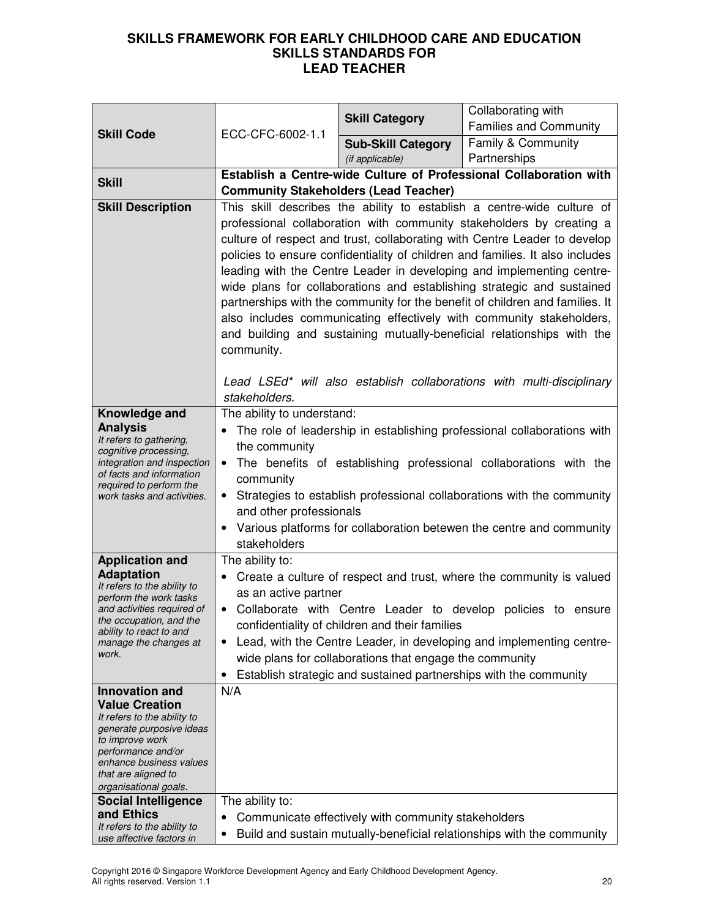| <b>Skill Code</b>                                       |                                                                                                 | <b>Skill Category</b>                                   | Collaborating with<br><b>Families and Community</b>                                                                                            |
|---------------------------------------------------------|-------------------------------------------------------------------------------------------------|---------------------------------------------------------|------------------------------------------------------------------------------------------------------------------------------------------------|
|                                                         | ECC-CFC-6002-1.1                                                                                | <b>Sub-Skill Category</b>                               | Family & Community                                                                                                                             |
|                                                         |                                                                                                 | (if applicable)                                         | Partnerships                                                                                                                                   |
|                                                         |                                                                                                 |                                                         | Establish a Centre-wide Culture of Professional Collaboration with                                                                             |
| <b>Skill</b>                                            | <b>Community Stakeholders (Lead Teacher)</b>                                                    |                                                         |                                                                                                                                                |
| <b>Skill Description</b>                                |                                                                                                 |                                                         | This skill describes the ability to establish a centre-wide culture of                                                                         |
|                                                         |                                                                                                 |                                                         | professional collaboration with community stakeholders by creating a                                                                           |
|                                                         |                                                                                                 |                                                         | culture of respect and trust, collaborating with Centre Leader to develop                                                                      |
|                                                         |                                                                                                 |                                                         | policies to ensure confidentiality of children and families. It also includes                                                                  |
|                                                         |                                                                                                 |                                                         | leading with the Centre Leader in developing and implementing centre-                                                                          |
|                                                         |                                                                                                 |                                                         | wide plans for collaborations and establishing strategic and sustained                                                                         |
|                                                         |                                                                                                 |                                                         | partnerships with the community for the benefit of children and families. It                                                                   |
|                                                         |                                                                                                 |                                                         | also includes communicating effectively with community stakeholders,<br>and building and sustaining mutually-beneficial relationships with the |
|                                                         | community.                                                                                      |                                                         |                                                                                                                                                |
|                                                         |                                                                                                 |                                                         |                                                                                                                                                |
|                                                         |                                                                                                 |                                                         | Lead LSEd* will also establish collaborations with multi-disciplinary                                                                          |
|                                                         | stakeholders.                                                                                   |                                                         |                                                                                                                                                |
| Knowledge and                                           | The ability to understand:                                                                      |                                                         |                                                                                                                                                |
| <b>Analysis</b><br>It refers to gathering,              |                                                                                                 |                                                         | The role of leadership in establishing professional collaborations with                                                                        |
| cognitive processing,                                   | the community<br>The benefits of establishing professional collaborations with the<br>community |                                                         |                                                                                                                                                |
| integration and inspection<br>of facts and information  |                                                                                                 |                                                         |                                                                                                                                                |
| required to perform the<br>work tasks and activities.   | $\bullet$                                                                                       |                                                         | Strategies to establish professional collaborations with the community                                                                         |
|                                                         | and other professionals                                                                         |                                                         |                                                                                                                                                |
|                                                         |                                                                                                 |                                                         | Various platforms for collaboration betewen the centre and community                                                                           |
|                                                         | stakeholders                                                                                    |                                                         |                                                                                                                                                |
| <b>Application and</b>                                  | The ability to:                                                                                 |                                                         |                                                                                                                                                |
| <b>Adaptation</b>                                       |                                                                                                 |                                                         | Create a culture of respect and trust, where the community is valued                                                                           |
| It refers to the ability to<br>perform the work tasks   | as an active partner                                                                            |                                                         |                                                                                                                                                |
| and activities required of<br>the occupation, and the   |                                                                                                 |                                                         | Collaborate with Centre Leader to develop policies to ensure                                                                                   |
| ability to react to and                                 |                                                                                                 | confidentiality of children and their families          |                                                                                                                                                |
| manage the changes at<br>work.                          | $\bullet$                                                                                       |                                                         | Lead, with the Centre Leader, in developing and implementing centre-                                                                           |
|                                                         | $\bullet$                                                                                       | wide plans for collaborations that engage the community | Establish strategic and sustained partnerships with the community                                                                              |
| <b>Innovation and</b>                                   | N/A                                                                                             |                                                         |                                                                                                                                                |
| <b>Value Creation</b>                                   |                                                                                                 |                                                         |                                                                                                                                                |
| It refers to the ability to<br>generate purposive ideas |                                                                                                 |                                                         |                                                                                                                                                |
| to improve work                                         |                                                                                                 |                                                         |                                                                                                                                                |
| performance and/or<br>enhance business values           |                                                                                                 |                                                         |                                                                                                                                                |
| that are aligned to                                     |                                                                                                 |                                                         |                                                                                                                                                |
| organisational goals.                                   |                                                                                                 |                                                         |                                                                                                                                                |
| <b>Social Intelligence</b><br>and Ethics                | The ability to:                                                                                 |                                                         |                                                                                                                                                |
| It refers to the ability to                             | $\bullet$<br>$\bullet$                                                                          | Communicate effectively with community stakeholders     | Build and sustain mutually-beneficial relationships with the community                                                                         |
| use affective factors in                                |                                                                                                 |                                                         |                                                                                                                                                |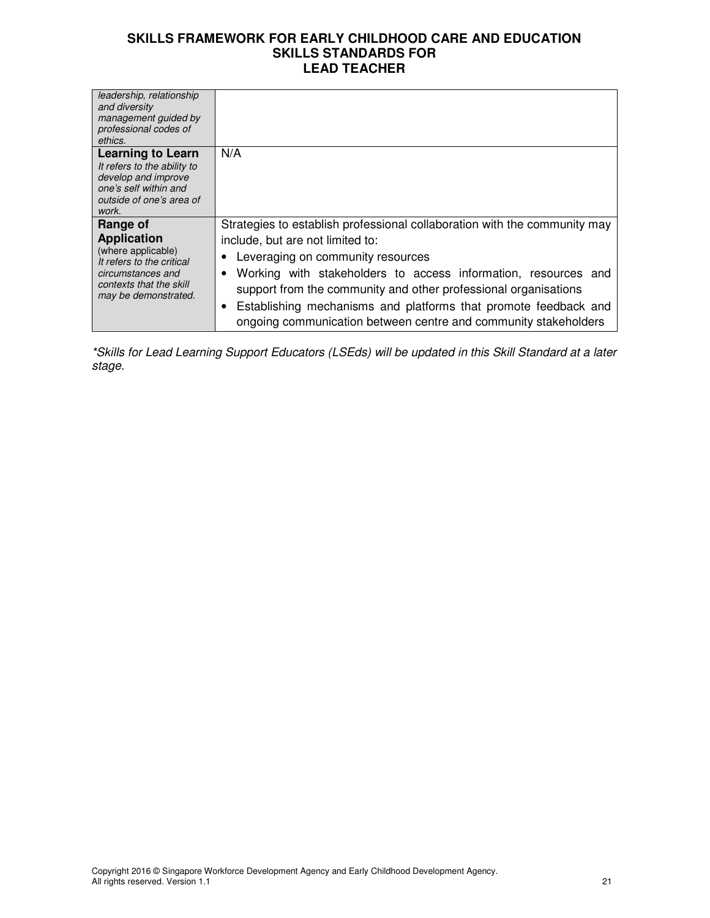| leadership, relationship<br>and diversity<br>management guided by<br>professional codes of<br>ethics.                                                     |                                                                                                                                                                                                                                                                                                                                                                                                                               |
|-----------------------------------------------------------------------------------------------------------------------------------------------------------|-------------------------------------------------------------------------------------------------------------------------------------------------------------------------------------------------------------------------------------------------------------------------------------------------------------------------------------------------------------------------------------------------------------------------------|
| <b>Learning to Learn</b><br>It refers to the ability to<br>develop and improve<br>one's self within and<br>outside of one's area of<br>work.              | N/A                                                                                                                                                                                                                                                                                                                                                                                                                           |
| Range of<br><b>Application</b><br>(where applicable)<br>It refers to the critical<br>circumstances and<br>contexts that the skill<br>may be demonstrated. | Strategies to establish professional collaboration with the community may<br>include, but are not limited to:<br>Leveraging on community resources<br>Working with stakeholders to access information, resources and<br>support from the community and other professional organisations<br>Establishing mechanisms and platforms that promote feedback and<br>ongoing communication between centre and community stakeholders |

\*Skills for Lead Learning Support Educators (LSEds) will be updated in this Skill Standard at a later stage.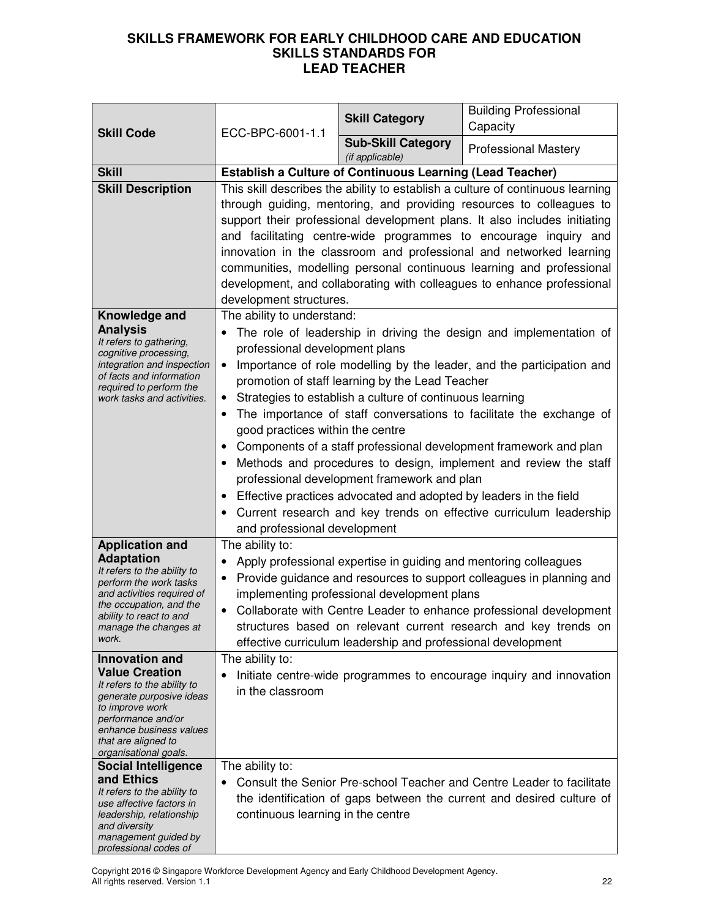| <b>Skill Code</b>                                                                                                                                                                                                                                                                                                                                          | ECC-BPC-6001-1.1                                                                                                                              | <b>Skill Category</b>                                                                                                                                                                                                           | <b>Building Professional</b><br>Capacity                                                                                                                                                                                                                                                                                                                                                                                                                                                                                         |
|------------------------------------------------------------------------------------------------------------------------------------------------------------------------------------------------------------------------------------------------------------------------------------------------------------------------------------------------------------|-----------------------------------------------------------------------------------------------------------------------------------------------|---------------------------------------------------------------------------------------------------------------------------------------------------------------------------------------------------------------------------------|----------------------------------------------------------------------------------------------------------------------------------------------------------------------------------------------------------------------------------------------------------------------------------------------------------------------------------------------------------------------------------------------------------------------------------------------------------------------------------------------------------------------------------|
|                                                                                                                                                                                                                                                                                                                                                            |                                                                                                                                               | <b>Sub-Skill Category</b><br>(if applicable)                                                                                                                                                                                    | <b>Professional Mastery</b>                                                                                                                                                                                                                                                                                                                                                                                                                                                                                                      |
| <b>Skill</b>                                                                                                                                                                                                                                                                                                                                               | <b>Establish a Culture of Continuous Learning (Lead Teacher)</b>                                                                              |                                                                                                                                                                                                                                 |                                                                                                                                                                                                                                                                                                                                                                                                                                                                                                                                  |
| <b>Skill Description</b>                                                                                                                                                                                                                                                                                                                                   | development structures.                                                                                                                       |                                                                                                                                                                                                                                 | This skill describes the ability to establish a culture of continuous learning<br>through guiding, mentoring, and providing resources to colleagues to<br>support their professional development plans. It also includes initiating<br>and facilitating centre-wide programmes to encourage inquiry and<br>innovation in the classroom and professional and networked learning<br>communities, modelling personal continuous learning and professional<br>development, and collaborating with colleagues to enhance professional |
| Knowledge and<br><b>Analysis</b><br>It refers to gathering,<br>cognitive processing,<br>integration and inspection<br>of facts and information<br>required to perform the<br>work tasks and activities.                                                                                                                                                    | The ability to understand:<br>professional development plans<br>$\bullet$<br>good practices within the centre<br>and professional development | promotion of staff learning by the Lead Teacher<br>Strategies to establish a culture of continuous learning<br>professional development framework and plan<br>Effective practices advocated and adopted by leaders in the field | The role of leadership in driving the design and implementation of<br>Importance of role modelling by the leader, and the participation and<br>The importance of staff conversations to facilitate the exchange of<br>Components of a staff professional development framework and plan<br>Methods and procedures to design, implement and review the staff<br>Current research and key trends on effective curriculum leadership                                                                                                |
| <b>Application and</b><br><b>Adaptation</b><br>It refers to the ability to<br>perform the work tasks<br>and activities required of<br>the occupation, and the<br>ability to react to and<br>manage the changes at<br>work.<br><b>Innovation and</b><br><b>Value Creation</b><br>It refers to the ability to<br>generate purposive ideas<br>to improve work | The ability to:<br>٠<br>The ability to:<br>in the classroom                                                                                   | Apply professional expertise in guiding and mentoring colleagues<br>implementing professional development plans<br>effective curriculum leadership and professional development                                                 | Provide guidance and resources to support colleagues in planning and<br>Collaborate with Centre Leader to enhance professional development<br>structures based on relevant current research and key trends on<br>Initiate centre-wide programmes to encourage inquiry and innovation                                                                                                                                                                                                                                             |
| performance and/or<br>enhance business values<br>that are aligned to<br>organisational goals.<br><b>Social Intelligence</b><br>and Ethics<br>It refers to the ability to<br>use affective factors in<br>leadership, relationship<br>and diversity<br>management guided by<br>professional codes of                                                         | The ability to:<br>continuous learning in the centre                                                                                          |                                                                                                                                                                                                                                 | Consult the Senior Pre-school Teacher and Centre Leader to facilitate<br>the identification of gaps between the current and desired culture of                                                                                                                                                                                                                                                                                                                                                                                   |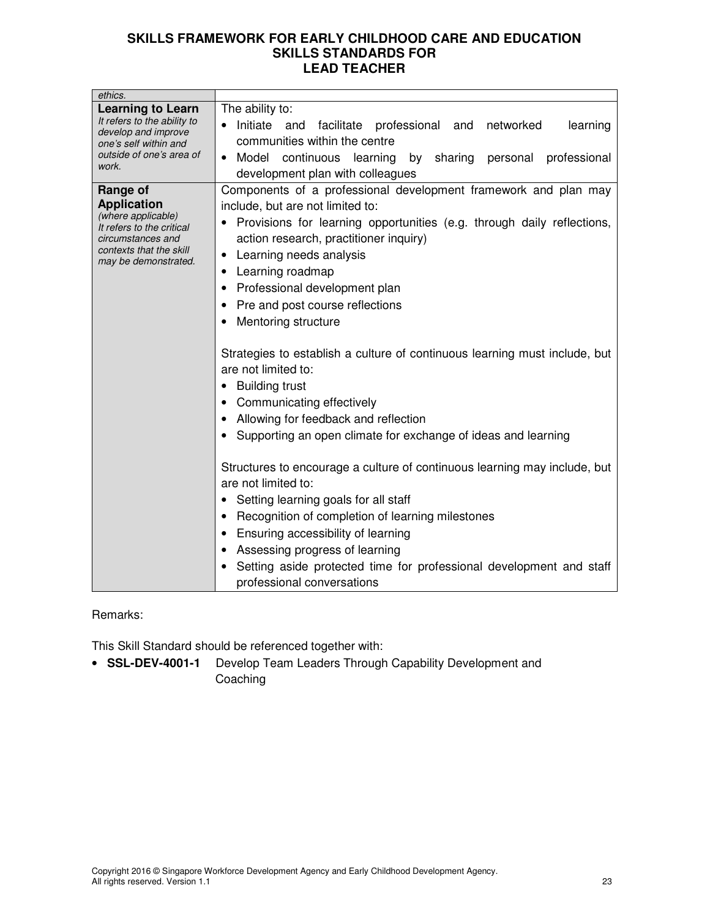| ethics.                                                                                                                                                   |                                                                                                                                                                                                                                                                                                                                                                                                                                                                                                                                                                                                                                                                                                                                                                                                                                                                                                                                                                                                                         |
|-----------------------------------------------------------------------------------------------------------------------------------------------------------|-------------------------------------------------------------------------------------------------------------------------------------------------------------------------------------------------------------------------------------------------------------------------------------------------------------------------------------------------------------------------------------------------------------------------------------------------------------------------------------------------------------------------------------------------------------------------------------------------------------------------------------------------------------------------------------------------------------------------------------------------------------------------------------------------------------------------------------------------------------------------------------------------------------------------------------------------------------------------------------------------------------------------|
| <b>Learning to Learn</b><br>It refers to the ability to<br>develop and improve<br>one's self within and<br>outside of one's area of<br>work.              | The ability to:<br>Initiate and<br>professional and networked<br>facilitate<br>learning<br>communities within the centre<br>Model continuous<br>learning by<br>sharing<br>professional<br>personal<br>$\bullet$<br>development plan with colleagues                                                                                                                                                                                                                                                                                                                                                                                                                                                                                                                                                                                                                                                                                                                                                                     |
| Range of<br><b>Application</b><br>(where applicable)<br>It refers to the critical<br>circumstances and<br>contexts that the skill<br>may be demonstrated. | Components of a professional development framework and plan may<br>include, but are not limited to:<br>Provisions for learning opportunities (e.g. through daily reflections,<br>action research, practitioner inquiry)<br>Learning needs analysis<br>٠<br>Learning roadmap<br>Professional development plan<br>Pre and post course reflections<br>Mentoring structure<br>Strategies to establish a culture of continuous learning must include, but<br>are not limited to:<br><b>Building trust</b><br>Communicating effectively<br>Allowing for feedback and reflection<br>Supporting an open climate for exchange of ideas and learning<br>Structures to encourage a culture of continuous learning may include, but<br>are not limited to:<br>Setting learning goals for all staff<br>Recognition of completion of learning milestones<br>Ensuring accessibility of learning<br>Assessing progress of learning<br>Setting aside protected time for professional development and staff<br>professional conversations |

# Remarks:

This Skill Standard should be referenced together with:

• **SSL-DEV-4001-1** Develop Team Leaders Through Capability Development and Coaching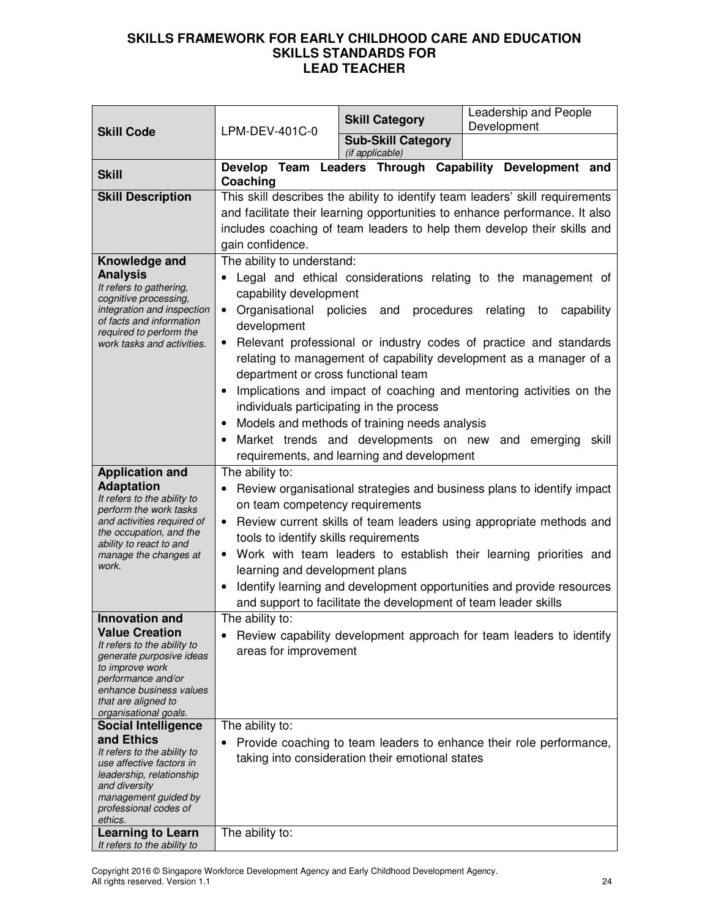| <b>Skill Code</b>                                         |                                                                       | <b>Skill Category</b>                              | Leadership and People<br>Development                                          |
|-----------------------------------------------------------|-----------------------------------------------------------------------|----------------------------------------------------|-------------------------------------------------------------------------------|
|                                                           | LPM-DEV-401C-0                                                        | <b>Sub-Skill Category</b>                          |                                                                               |
|                                                           |                                                                       | (if applicable)                                    |                                                                               |
| <b>Skill</b>                                              | Coaching                                                              |                                                    | Develop Team Leaders Through Capability Development and                       |
| <b>Skill Description</b>                                  |                                                                       |                                                    | This skill describes the ability to identify team leaders' skill requirements |
|                                                           |                                                                       |                                                    | and facilitate their learning opportunities to enhance performance. It also   |
|                                                           |                                                                       |                                                    | includes coaching of team leaders to help them develop their skills and       |
|                                                           | gain confidence.                                                      |                                                    |                                                                               |
| Knowledge and                                             | The ability to understand:                                            |                                                    |                                                                               |
| <b>Analysis</b>                                           |                                                                       |                                                    | Legal and ethical considerations relating to the management of                |
| It refers to gathering,                                   | capability development                                                |                                                    |                                                                               |
| cognitive processing,<br>integration and inspection       | Organisational policies<br>$\bullet$                                  | procedures<br>and                                  | relating<br>capability<br>to                                                  |
| of facts and information                                  | development                                                           |                                                    |                                                                               |
| required to perform the<br>work tasks and activities.     | $\bullet$                                                             |                                                    | Relevant professional or industry codes of practice and standards             |
|                                                           |                                                                       |                                                    | relating to management of capability development as a manager of a            |
|                                                           | department or cross functional team                                   |                                                    |                                                                               |
|                                                           |                                                                       |                                                    | Implications and impact of coaching and mentoring activities on the           |
|                                                           | individuals participating in the process                              |                                                    |                                                                               |
|                                                           |                                                                       | Models and methods of training needs analysis      |                                                                               |
|                                                           |                                                                       | Market trends and developments on new and emerging | skill                                                                         |
|                                                           |                                                                       |                                                    |                                                                               |
|                                                           |                                                                       | requirements, and learning and development         |                                                                               |
| <b>Application and</b><br><b>Adaptation</b>               | The ability to:                                                       |                                                    |                                                                               |
| It refers to the ability to                               |                                                                       |                                                    | Review organisational strategies and business plans to identify impact        |
| on team competency requirements<br>perform the work tasks |                                                                       |                                                    |                                                                               |
| and activities required of<br>the occupation, and the     | • Review current skills of team leaders using appropriate methods and |                                                    |                                                                               |
| ability to react to and                                   | tools to identify skills requirements                                 |                                                    |                                                                               |
| manage the changes at<br>work.                            | Work with team leaders to establish their learning priorities and     |                                                    |                                                                               |
|                                                           | learning and development plans                                        |                                                    |                                                                               |
|                                                           |                                                                       |                                                    | Identify learning and development opportunities and provide resources         |
|                                                           | and support to facilitate the development of team leader skills       |                                                    |                                                                               |
| <b>Innovation and</b>                                     | The ability to:                                                       |                                                    |                                                                               |
| <b>Value Creation</b><br>It refers to the ability to      |                                                                       |                                                    | Review capability development approach for team leaders to identify           |
| generate purposive ideas                                  | areas for improvement                                                 |                                                    |                                                                               |
| to improve work<br>performance and/or                     |                                                                       |                                                    |                                                                               |
| enhance business values                                   |                                                                       |                                                    |                                                                               |
| that are aligned to                                       |                                                                       |                                                    |                                                                               |
| organisational goals.<br><b>Social Intelligence</b>       | The ability to:                                                       |                                                    |                                                                               |
| and Ethics                                                |                                                                       |                                                    |                                                                               |
| It refers to the ability to                               | Provide coaching to team leaders to enhance their role performance,   |                                                    |                                                                               |
| use affective factors in<br>leadership, relationship      | taking into consideration their emotional states                      |                                                    |                                                                               |
| and diversity                                             |                                                                       |                                                    |                                                                               |
| management guided by                                      |                                                                       |                                                    |                                                                               |
| professional codes of<br>ethics.                          |                                                                       |                                                    |                                                                               |
| <b>Learning to Learn</b>                                  | The ability to:                                                       |                                                    |                                                                               |
| It refers to the ability to                               |                                                                       |                                                    |                                                                               |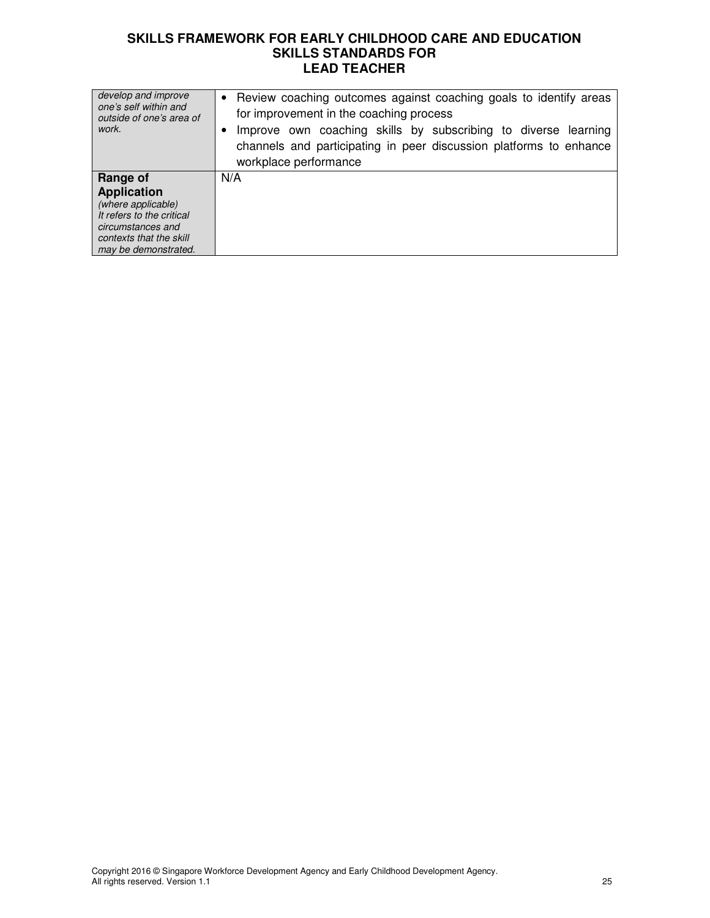| develop and improve<br>one's self within and<br>outside of one's area of<br>work.                                                                         | • Review coaching outcomes against coaching goals to identify areas<br>for improvement in the coaching process<br>Improve own coaching skills by subscribing to diverse learning<br>channels and participating in peer discussion platforms to enhance<br>workplace performance |
|-----------------------------------------------------------------------------------------------------------------------------------------------------------|---------------------------------------------------------------------------------------------------------------------------------------------------------------------------------------------------------------------------------------------------------------------------------|
| Range of<br><b>Application</b><br>(where applicable)<br>It refers to the critical<br>circumstances and<br>contexts that the skill<br>may be demonstrated. | N/A                                                                                                                                                                                                                                                                             |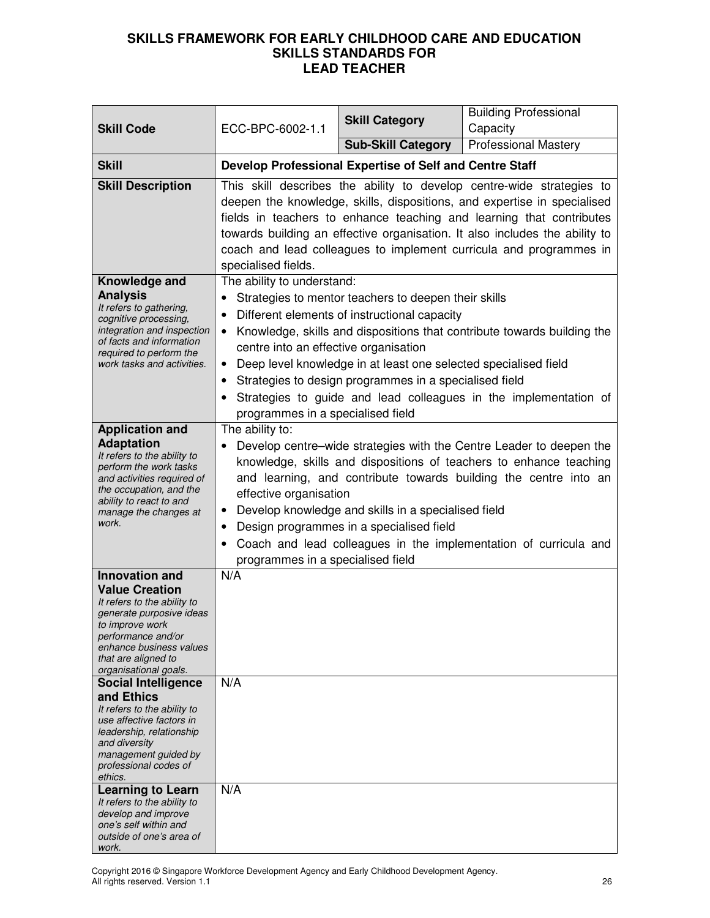| <b>Skill Code</b>                                                                                                                                                                                                                                                                                                                                                                                                                  | ECC-BPC-6002-1.1                                                                                                                                                                                                                                                                                                                                                                                                                                                                 | <b>Skill Category</b>                                                                                                                                                                                                             | <b>Building Professional</b><br>Capacity                                                                                                    |
|------------------------------------------------------------------------------------------------------------------------------------------------------------------------------------------------------------------------------------------------------------------------------------------------------------------------------------------------------------------------------------------------------------------------------------|----------------------------------------------------------------------------------------------------------------------------------------------------------------------------------------------------------------------------------------------------------------------------------------------------------------------------------------------------------------------------------------------------------------------------------------------------------------------------------|-----------------------------------------------------------------------------------------------------------------------------------------------------------------------------------------------------------------------------------|---------------------------------------------------------------------------------------------------------------------------------------------|
|                                                                                                                                                                                                                                                                                                                                                                                                                                    |                                                                                                                                                                                                                                                                                                                                                                                                                                                                                  | <b>Sub-Skill Category</b>                                                                                                                                                                                                         | <b>Professional Mastery</b>                                                                                                                 |
| <b>Skill</b>                                                                                                                                                                                                                                                                                                                                                                                                                       | Develop Professional Expertise of Self and Centre Staff                                                                                                                                                                                                                                                                                                                                                                                                                          |                                                                                                                                                                                                                                   |                                                                                                                                             |
| <b>Skill Description</b>                                                                                                                                                                                                                                                                                                                                                                                                           | This skill describes the ability to develop centre-wide strategies to<br>deepen the knowledge, skills, dispositions, and expertise in specialised<br>fields in teachers to enhance teaching and learning that contributes<br>towards building an effective organisation. It also includes the ability to<br>coach and lead colleagues to implement curricula and programmes in<br>specialised fields.                                                                            |                                                                                                                                                                                                                                   |                                                                                                                                             |
| Knowledge and<br><b>Analysis</b><br>It refers to gathering,<br>cognitive processing,<br>integration and inspection<br>of facts and information<br>required to perform the<br>work tasks and activities.                                                                                                                                                                                                                            | The ability to understand:<br>$\bullet$<br>centre into an effective organisation<br>$\bullet$<br>programmes in a specialised field                                                                                                                                                                                                                                                                                                                                               | Strategies to mentor teachers to deepen their skills<br>Different elements of instructional capacity<br>Deep level knowledge in at least one selected specialised field<br>Strategies to design programmes in a specialised field | Knowledge, skills and dispositions that contribute towards building the<br>Strategies to guide and lead colleagues in the implementation of |
| <b>Application and</b><br><b>Adaptation</b><br>It refers to the ability to<br>perform the work tasks<br>and activities required of<br>the occupation, and the<br>ability to react to and<br>manage the changes at<br>work.                                                                                                                                                                                                         | The ability to:<br>Develop centre-wide strategies with the Centre Leader to deepen the<br>knowledge, skills and dispositions of teachers to enhance teaching<br>and learning, and contribute towards building the centre into an<br>effective organisation<br>Develop knowledge and skills in a specialised field<br>٠<br>Design programmes in a specialised field<br>٠<br>Coach and lead colleagues in the implementation of curricula and<br>programmes in a specialised field |                                                                                                                                                                                                                                   |                                                                                                                                             |
| <b>Innovation and</b><br><b>Value Creation</b><br>It refers to the ability to<br>generate purposive ideas<br>to improve work<br>performance and/or<br>enhance business values<br>that are aligned to<br>organisational goals.<br><b>Social Intelligence</b><br>and Ethics<br>It refers to the ability to<br>use affective factors in<br>leadership, relationship<br>and diversity<br>management guided by<br>professional codes of | N/A<br>N/A                                                                                                                                                                                                                                                                                                                                                                                                                                                                       |                                                                                                                                                                                                                                   |                                                                                                                                             |
| ethics.<br><b>Learning to Learn</b><br>It refers to the ability to<br>develop and improve<br>one's self within and<br>outside of one's area of<br>work.                                                                                                                                                                                                                                                                            | N/A                                                                                                                                                                                                                                                                                                                                                                                                                                                                              |                                                                                                                                                                                                                                   |                                                                                                                                             |

Copyright 2016 © Singapore Workforce Development Agency and Early Childhood Development Agency. All rights reserved. Version 1.1 26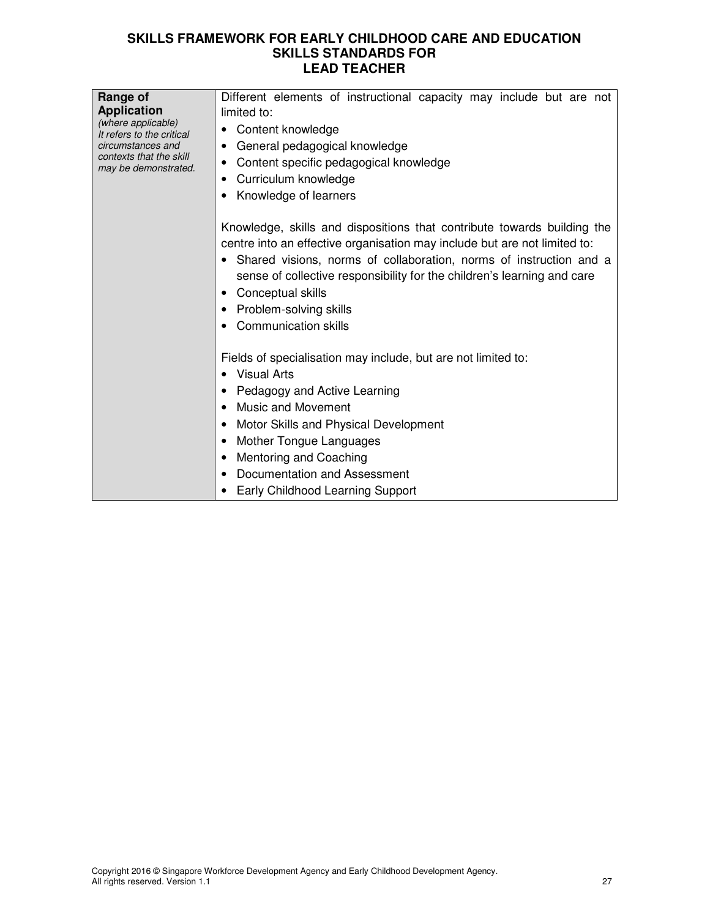| Range of<br><b>Application</b><br>(where applicable)<br>It refers to the critical<br>circumstances and<br>contexts that the skill<br>may be demonstrated. | Different elements of instructional capacity may include but are not<br>limited to:<br>• Content knowledge<br>General pedagogical knowledge<br>Content specific pedagogical knowledge<br>٠<br>Curriculum knowledge<br>Knowledge of learners                                                                                                                                                          |
|-----------------------------------------------------------------------------------------------------------------------------------------------------------|------------------------------------------------------------------------------------------------------------------------------------------------------------------------------------------------------------------------------------------------------------------------------------------------------------------------------------------------------------------------------------------------------|
|                                                                                                                                                           | Knowledge, skills and dispositions that contribute towards building the<br>centre into an effective organisation may include but are not limited to:<br>• Shared visions, norms of collaboration, norms of instruction and a<br>sense of collective responsibility for the children's learning and care<br>Conceptual skills<br>$\bullet$<br>• Problem-solving skills<br><b>Communication skills</b> |
|                                                                                                                                                           | Fields of specialisation may include, but are not limited to:<br>Visual Arts<br>Pedagogy and Active Learning<br><b>Music and Movement</b><br>Motor Skills and Physical Development<br>Mother Tongue Languages<br>Mentoring and Coaching<br>Documentation and Assessment<br><b>Early Childhood Learning Support</b>                                                                                   |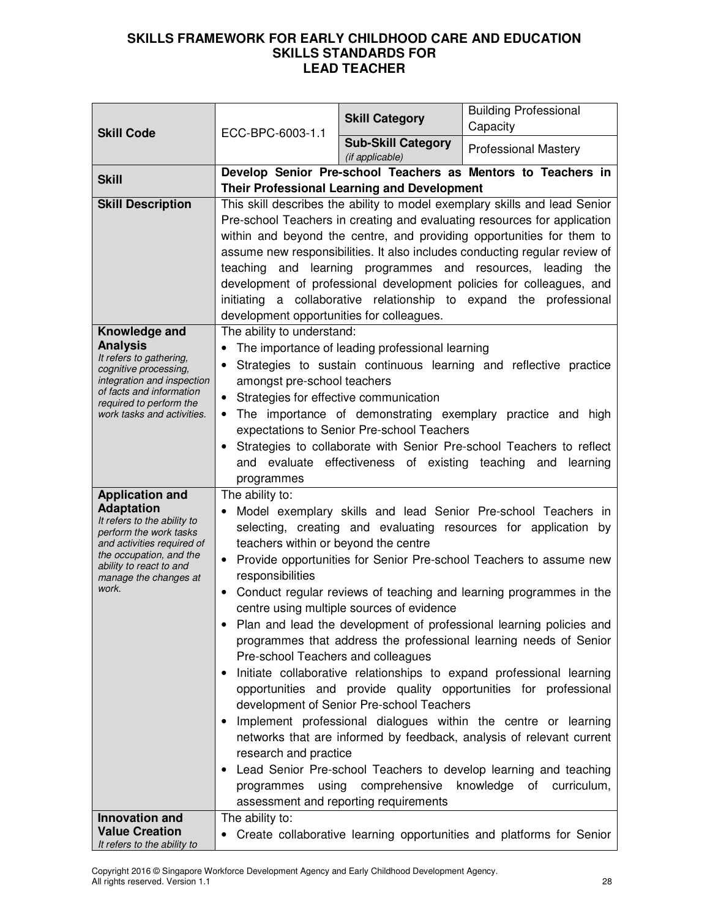| <b>Skill Code</b>                                                                                                                                                                                                          | ECC-BPC-6003-1.1                                                                                                                                                                                                                                                                                                                                                                                                                                                                                                                                                                                                                                                                                                                                                                                                                                                                                                                                                                                                                                                                                                                                                       | <b>Skill Category</b>                                                                                                                                | <b>Building Professional</b><br>Capacity                                                                                                                                                                                                                                                                                                                                                                                                                                                                          |
|----------------------------------------------------------------------------------------------------------------------------------------------------------------------------------------------------------------------------|------------------------------------------------------------------------------------------------------------------------------------------------------------------------------------------------------------------------------------------------------------------------------------------------------------------------------------------------------------------------------------------------------------------------------------------------------------------------------------------------------------------------------------------------------------------------------------------------------------------------------------------------------------------------------------------------------------------------------------------------------------------------------------------------------------------------------------------------------------------------------------------------------------------------------------------------------------------------------------------------------------------------------------------------------------------------------------------------------------------------------------------------------------------------|------------------------------------------------------------------------------------------------------------------------------------------------------|-------------------------------------------------------------------------------------------------------------------------------------------------------------------------------------------------------------------------------------------------------------------------------------------------------------------------------------------------------------------------------------------------------------------------------------------------------------------------------------------------------------------|
|                                                                                                                                                                                                                            |                                                                                                                                                                                                                                                                                                                                                                                                                                                                                                                                                                                                                                                                                                                                                                                                                                                                                                                                                                                                                                                                                                                                                                        | <b>Sub-Skill Category</b><br>(if applicable)                                                                                                         | <b>Professional Mastery</b>                                                                                                                                                                                                                                                                                                                                                                                                                                                                                       |
| <b>Skill</b>                                                                                                                                                                                                               | Develop Senior Pre-school Teachers as Mentors to Teachers in<br><b>Their Professional Learning and Development</b>                                                                                                                                                                                                                                                                                                                                                                                                                                                                                                                                                                                                                                                                                                                                                                                                                                                                                                                                                                                                                                                     |                                                                                                                                                      |                                                                                                                                                                                                                                                                                                                                                                                                                                                                                                                   |
| <b>Skill Description</b>                                                                                                                                                                                                   | teaching<br>development opportunities for colleagues.                                                                                                                                                                                                                                                                                                                                                                                                                                                                                                                                                                                                                                                                                                                                                                                                                                                                                                                                                                                                                                                                                                                  |                                                                                                                                                      | This skill describes the ability to model exemplary skills and lead Senior<br>Pre-school Teachers in creating and evaluating resources for application<br>within and beyond the centre, and providing opportunities for them to<br>assume new responsibilities. It also includes conducting regular review of<br>and learning programmes and resources, leading the<br>development of professional development policies for colleagues, and<br>initiating a collaborative relationship to expand the professional |
| Knowledge and<br><b>Analysis</b><br>It refers to gathering,<br>cognitive processing,<br>integration and inspection<br>of facts and information<br>required to perform the<br>work tasks and activities.                    | The ability to understand:<br>٠<br>amongst pre-school teachers<br>Strategies for effective communication<br>$\bullet$<br>$\bullet$<br>$\bullet$<br>programmes                                                                                                                                                                                                                                                                                                                                                                                                                                                                                                                                                                                                                                                                                                                                                                                                                                                                                                                                                                                                          | The importance of leading professional learning<br>expectations to Senior Pre-school Teachers<br>and evaluate effectiveness of existing teaching and | Strategies to sustain continuous learning and reflective practice<br>The importance of demonstrating exemplary practice and high<br>Strategies to collaborate with Senior Pre-school Teachers to reflect<br>learning                                                                                                                                                                                                                                                                                              |
| <b>Application and</b><br><b>Adaptation</b><br>It refers to the ability to<br>perform the work tasks<br>and activities required of<br>the occupation, and the<br>ability to react to and<br>manage the changes at<br>work. | The ability to:<br>Model exemplary skills and lead Senior Pre-school Teachers in<br>selecting, creating and evaluating resources for application by<br>teachers within or beyond the centre<br>Provide opportunities for Senior Pre-school Teachers to assume new<br>$\bullet$<br>responsibilities<br>Conduct regular reviews of teaching and learning programmes in the<br>٠<br>centre using multiple sources of evidence<br>Plan and lead the development of professional learning policies and<br>programmes that address the professional learning needs of Senior<br>Pre-school Teachers and colleagues<br>Initiate collaborative relationships to expand professional learning<br>٠<br>opportunities and provide quality opportunities for professional<br>development of Senior Pre-school Teachers<br>Implement professional dialogues within the centre or learning<br>networks that are informed by feedback, analysis of relevant current<br>research and practice<br>Lead Senior Pre-school Teachers to develop learning and teaching<br>٠<br>comprehensive<br>knowledge of<br>using<br>curriculum,<br>programmes<br>assessment and reporting requirements |                                                                                                                                                      |                                                                                                                                                                                                                                                                                                                                                                                                                                                                                                                   |
| <b>Innovation and</b><br><b>Value Creation</b><br>It refers to the ability to                                                                                                                                              | The ability to:                                                                                                                                                                                                                                                                                                                                                                                                                                                                                                                                                                                                                                                                                                                                                                                                                                                                                                                                                                                                                                                                                                                                                        |                                                                                                                                                      | • Create collaborative learning opportunities and platforms for Senior                                                                                                                                                                                                                                                                                                                                                                                                                                            |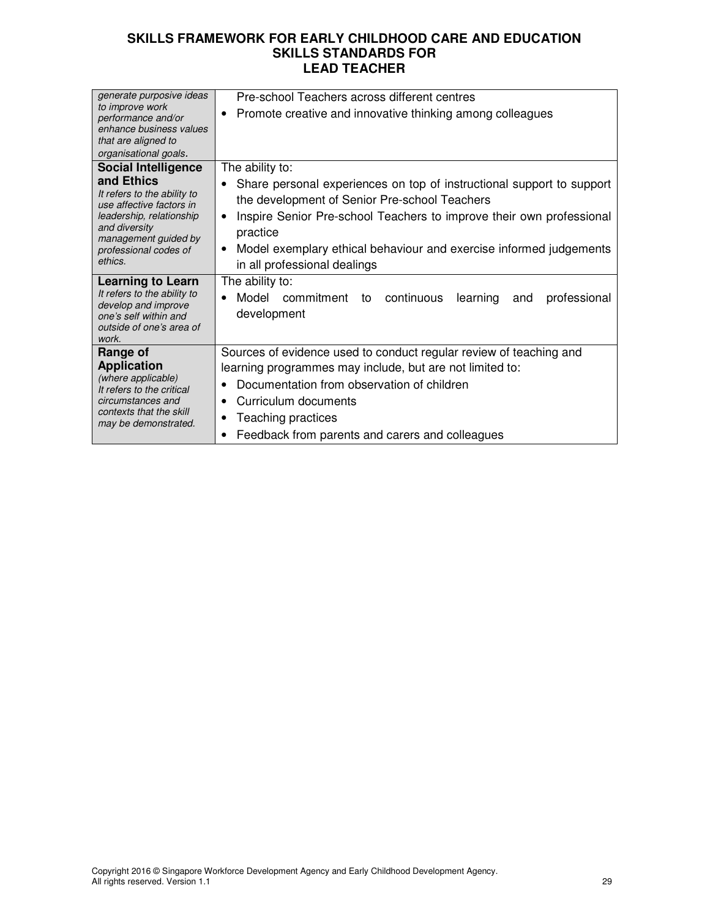| generate purposive ideas<br>to improve work     | Pre-school Teachers across different centres                                      |
|-------------------------------------------------|-----------------------------------------------------------------------------------|
| performance and/or                              | Promote creative and innovative thinking among colleagues<br>$\bullet$            |
| enhance business values                         |                                                                                   |
| that are aligned to<br>organisational goals.    |                                                                                   |
| <b>Social Intelligence</b>                      | The ability to:                                                                   |
| and Ethics                                      |                                                                                   |
| It refers to the ability to                     | Share personal experiences on top of instructional support to support             |
| use affective factors in                        | the development of Senior Pre-school Teachers                                     |
| leadership, relationship<br>and diversity       | Inspire Senior Pre-school Teachers to improve their own professional<br>$\bullet$ |
| management guided by                            | practice                                                                          |
| professional codes of                           | Model exemplary ethical behaviour and exercise informed judgements<br>٠           |
| ethics.                                         | in all professional dealings                                                      |
| <b>Learning to Learn</b>                        | The ability to:                                                                   |
| It refers to the ability to                     | Model commitment<br>continuous<br>learning<br>professional<br>to<br>and           |
| develop and improve<br>one's self within and    | development                                                                       |
| outside of one's area of                        |                                                                                   |
| work.                                           |                                                                                   |
| Range of                                        | Sources of evidence used to conduct regular review of teaching and                |
| <b>Application</b><br>(where applicable)        | learning programmes may include, but are not limited to:                          |
| It refers to the critical                       | Documentation from observation of children                                        |
| circumstances and                               | Curriculum documents                                                              |
| contexts that the skill<br>may be demonstrated. | Teaching practices                                                                |
|                                                 | Feedback from parents and carers and colleagues                                   |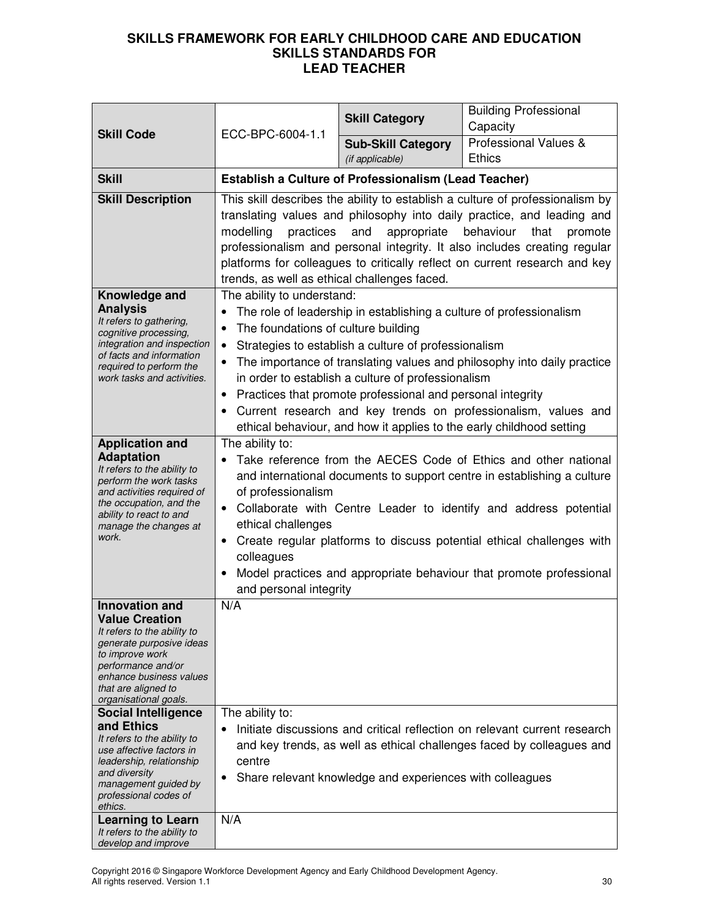| <b>Skill Code</b>                                                                                                                                                                                                                                                                                                                                                                                                                             | ECC-BPC-6004-1.1                                                                                                                                                                                                                                                                                                                                                                                                                                                                                     | <b>Skill Category</b>                                                                                                                                                                                                                           | <b>Building Professional</b><br>Capacity                                                                                                                                                                          |
|-----------------------------------------------------------------------------------------------------------------------------------------------------------------------------------------------------------------------------------------------------------------------------------------------------------------------------------------------------------------------------------------------------------------------------------------------|------------------------------------------------------------------------------------------------------------------------------------------------------------------------------------------------------------------------------------------------------------------------------------------------------------------------------------------------------------------------------------------------------------------------------------------------------------------------------------------------------|-------------------------------------------------------------------------------------------------------------------------------------------------------------------------------------------------------------------------------------------------|-------------------------------------------------------------------------------------------------------------------------------------------------------------------------------------------------------------------|
|                                                                                                                                                                                                                                                                                                                                                                                                                                               |                                                                                                                                                                                                                                                                                                                                                                                                                                                                                                      | <b>Sub-Skill Category</b><br>(if applicable)                                                                                                                                                                                                    | Professional Values &<br><b>Ethics</b>                                                                                                                                                                            |
| <b>Skill</b>                                                                                                                                                                                                                                                                                                                                                                                                                                  |                                                                                                                                                                                                                                                                                                                                                                                                                                                                                                      | <b>Establish a Culture of Professionalism (Lead Teacher)</b>                                                                                                                                                                                    |                                                                                                                                                                                                                   |
| <b>Skill Description</b>                                                                                                                                                                                                                                                                                                                                                                                                                      | This skill describes the ability to establish a culture of professionalism by<br>translating values and philosophy into daily practice, and leading and<br>modelling<br>practices<br>appropriate<br>behaviour<br>and<br>that<br>promote<br>professionalism and personal integrity. It also includes creating regular<br>platforms for colleagues to critically reflect on current research and key<br>trends, as well as ethical challenges faced.                                                   |                                                                                                                                                                                                                                                 |                                                                                                                                                                                                                   |
| Knowledge and<br><b>Analysis</b><br>It refers to gathering,<br>cognitive processing,<br>integration and inspection<br>of facts and information<br>required to perform the<br>work tasks and activities.                                                                                                                                                                                                                                       | The ability to understand:<br>The foundations of culture building<br>٠<br>$\bullet$                                                                                                                                                                                                                                                                                                                                                                                                                  | The role of leadership in establishing a culture of professionalism<br>Strategies to establish a culture of professionalism<br>in order to establish a culture of professionalism<br>Practices that promote professional and personal integrity | The importance of translating values and philosophy into daily practice<br>Current research and key trends on professionalism, values and<br>ethical behaviour, and how it applies to the early childhood setting |
| <b>Application and</b><br><b>Adaptation</b><br>It refers to the ability to<br>perform the work tasks<br>and activities required of<br>the occupation, and the<br>ability to react to and<br>manage the changes at<br>work.                                                                                                                                                                                                                    | The ability to:<br>Take reference from the AECES Code of Ethics and other national<br>$\bullet$<br>and international documents to support centre in establishing a culture<br>of professionalism<br>Collaborate with Centre Leader to identify and address potential<br>$\bullet$<br>ethical challenges<br>Create regular platforms to discuss potential ethical challenges with<br>٠<br>colleagues<br>Model practices and appropriate behaviour that promote professional<br>and personal integrity |                                                                                                                                                                                                                                                 |                                                                                                                                                                                                                   |
| <b>Innovation and</b><br><b>Value Creation</b><br>It refers to the ability to<br>generate purposive ideas<br>to improve work<br>performance and/or<br>enhance business values<br>that are aligned to<br>organisational goals.<br><b>Social Intelligence</b><br>and Ethics<br>It refers to the ability to<br>use affective factors in<br>leadership, relationship<br>and diversity<br>management guided by<br>professional codes of<br>ethics. | N/A<br>The ability to:<br>centre<br>٠                                                                                                                                                                                                                                                                                                                                                                                                                                                                | Share relevant knowledge and experiences with colleagues                                                                                                                                                                                        | Initiate discussions and critical reflection on relevant current research<br>and key trends, as well as ethical challenges faced by colleagues and                                                                |
| <b>Learning to Learn</b><br>It refers to the ability to<br>develop and improve                                                                                                                                                                                                                                                                                                                                                                | N/A                                                                                                                                                                                                                                                                                                                                                                                                                                                                                                  |                                                                                                                                                                                                                                                 |                                                                                                                                                                                                                   |

Copyright 2016 © Singapore Workforce Development Agency and Early Childhood Development Agency. All rights reserved. Version 1.1 30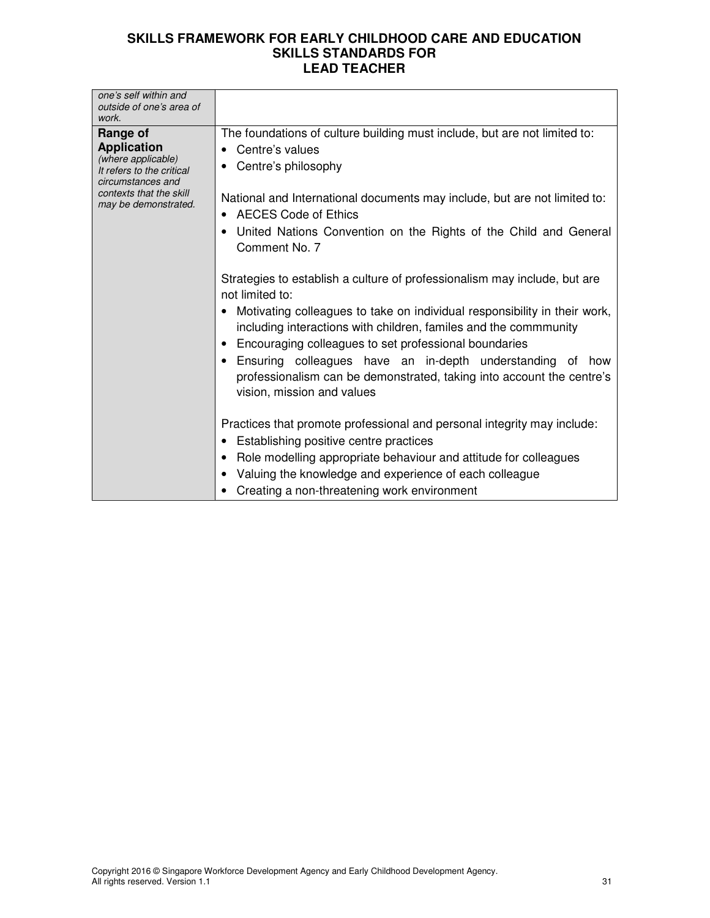| one's self within and<br>outside of one's area of<br>work.                                                                                                |                                                                                                                                                                                                                                                                                                                                                                                                                                                                                                                                                                                                                                                                                                                                                                                             |
|-----------------------------------------------------------------------------------------------------------------------------------------------------------|---------------------------------------------------------------------------------------------------------------------------------------------------------------------------------------------------------------------------------------------------------------------------------------------------------------------------------------------------------------------------------------------------------------------------------------------------------------------------------------------------------------------------------------------------------------------------------------------------------------------------------------------------------------------------------------------------------------------------------------------------------------------------------------------|
| Range of<br><b>Application</b><br>(where applicable)<br>It refers to the critical<br>circumstances and<br>contexts that the skill<br>may be demonstrated. | The foundations of culture building must include, but are not limited to:<br>Centre's values<br>Centre's philosophy<br>National and International documents may include, but are not limited to:<br>AECES Code of Ethics<br>United Nations Convention on the Rights of the Child and General<br>Comment No. 7<br>Strategies to establish a culture of professionalism may include, but are<br>not limited to:<br>Motivating colleagues to take on individual responsibility in their work,<br>including interactions with children, familes and the commmunity<br>Encouraging colleagues to set professional boundaries<br>Ensuring colleagues have an in-depth understanding of how<br>professionalism can be demonstrated, taking into account the centre's<br>vision, mission and values |
|                                                                                                                                                           | Practices that promote professional and personal integrity may include:<br>Establishing positive centre practices<br>Role modelling appropriate behaviour and attitude for colleagues<br>Valuing the knowledge and experience of each colleague<br>Creating a non-threatening work environment                                                                                                                                                                                                                                                                                                                                                                                                                                                                                              |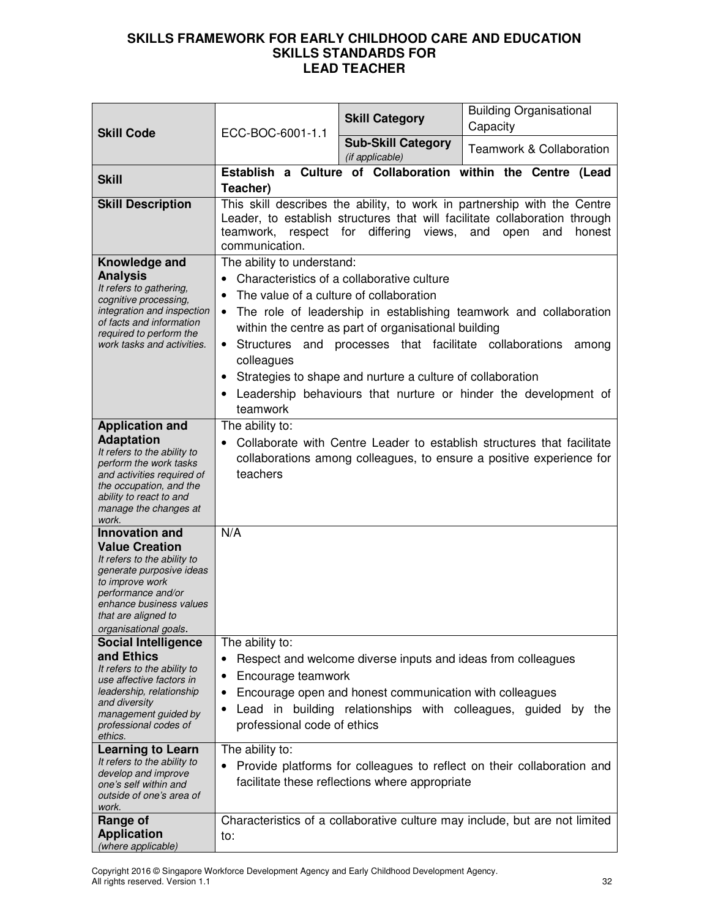| <b>Skill Code</b>                                                                                                                                                                                                             | ECC-BOC-6001-1.1                                                                                                                                                                                                                                                                                                                                                                                                                                                                                                         | <b>Skill Category</b>                          | <b>Building Organisational</b><br>Capacity                                  |
|-------------------------------------------------------------------------------------------------------------------------------------------------------------------------------------------------------------------------------|--------------------------------------------------------------------------------------------------------------------------------------------------------------------------------------------------------------------------------------------------------------------------------------------------------------------------------------------------------------------------------------------------------------------------------------------------------------------------------------------------------------------------|------------------------------------------------|-----------------------------------------------------------------------------|
|                                                                                                                                                                                                                               |                                                                                                                                                                                                                                                                                                                                                                                                                                                                                                                          | <b>Sub-Skill Category</b><br>(if applicable)   | <b>Teamwork &amp; Collaboration</b>                                         |
| <b>Skill</b>                                                                                                                                                                                                                  | Teacher)                                                                                                                                                                                                                                                                                                                                                                                                                                                                                                                 |                                                | Establish a Culture of Collaboration within the Centre (Lead                |
| <b>Skill Description</b>                                                                                                                                                                                                      | This skill describes the ability, to work in partnership with the Centre<br>Leader, to establish structures that will facilitate collaboration through<br>teamwork, respect for differing views,<br>and<br>honest<br>open<br>and<br>communication.                                                                                                                                                                                                                                                                       |                                                |                                                                             |
| Knowledge and<br><b>Analysis</b><br>It refers to gathering,<br>cognitive processing,<br>integration and inspection<br>of facts and information<br>required to perform the<br>work tasks and activities.                       | The ability to understand:<br>Characteristics of a collaborative culture<br>The value of a culture of collaboration<br>$\bullet$<br>The role of leadership in establishing teamwork and collaboration<br>$\bullet$<br>within the centre as part of organisational building<br>• Structures and processes that facilitate collaborations<br>among<br>colleagues<br>Strategies to shape and nurture a culture of collaboration<br>$\bullet$<br>Leadership behaviours that nurture or hinder the development of<br>teamwork |                                                |                                                                             |
| <b>Application and</b><br><b>Adaptation</b><br>It refers to the ability to<br>perform the work tasks<br>and activities required of<br>the occupation, and the<br>ability to react to and<br>manage the changes at<br>work.    | The ability to:<br>Collaborate with Centre Leader to establish structures that facilitate<br>collaborations among colleagues, to ensure a positive experience for<br>teachers                                                                                                                                                                                                                                                                                                                                            |                                                |                                                                             |
| <b>Innovation and</b><br><b>Value Creation</b><br>It refers to the ability to<br>generate purposive ideas<br>to improve work<br>performance and/or<br>enhance business values<br>that are aligned to<br>organisational goals. | N/A                                                                                                                                                                                                                                                                                                                                                                                                                                                                                                                      |                                                |                                                                             |
| <b>Social Intelligence</b><br>and Ethics<br>It refers to the ability to<br>use affective factors in<br>leadership, relationship<br>and diversity<br>management guided by<br>professional codes of<br>ethics.                  | The ability to:<br>Respect and welcome diverse inputs and ideas from colleagues<br>Encourage teamwork<br>Encourage open and honest communication with colleagues<br>Lead in building relationships with colleagues, guided<br>by the<br>professional code of ethics                                                                                                                                                                                                                                                      |                                                |                                                                             |
| <b>Learning to Learn</b><br>It refers to the ability to<br>develop and improve<br>one's self within and<br>outside of one's area of<br>work.                                                                                  | The ability to:<br>٠                                                                                                                                                                                                                                                                                                                                                                                                                                                                                                     | facilitate these reflections where appropriate | Provide platforms for colleagues to reflect on their collaboration and      |
| Range of<br><b>Application</b><br>(where applicable)                                                                                                                                                                          | to:                                                                                                                                                                                                                                                                                                                                                                                                                                                                                                                      |                                                | Characteristics of a collaborative culture may include, but are not limited |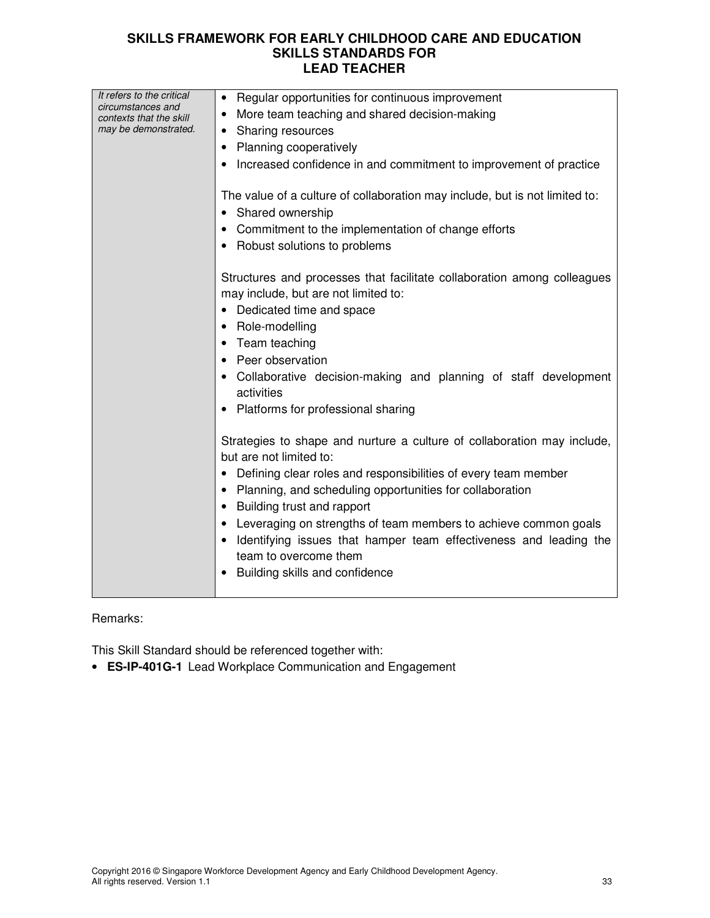| It refers to the critical<br>circumstances and<br>contexts that the skill | • Regular opportunities for continuous improvement<br>More team teaching and shared decision-making             |
|---------------------------------------------------------------------------|-----------------------------------------------------------------------------------------------------------------|
| may be demonstrated.                                                      | <b>Sharing resources</b>                                                                                        |
|                                                                           | <b>Planning cooperatively</b>                                                                                   |
|                                                                           | Increased confidence in and commitment to improvement of practice                                               |
|                                                                           | The value of a culture of collaboration may include, but is not limited to:<br>• Shared ownership               |
|                                                                           | Commitment to the implementation of change efforts                                                              |
|                                                                           | Robust solutions to problems                                                                                    |
|                                                                           | Structures and processes that facilitate collaboration among colleagues<br>may include, but are not limited to: |
|                                                                           | Dedicated time and space                                                                                        |
|                                                                           | Role-modelling                                                                                                  |
|                                                                           | Team teaching                                                                                                   |
|                                                                           | Peer observation                                                                                                |
|                                                                           | Collaborative decision-making and planning of staff development<br>activities                                   |
|                                                                           | Platforms for professional sharing                                                                              |
|                                                                           | Strategies to shape and nurture a culture of collaboration may include,<br>but are not limited to:              |
|                                                                           | Defining clear roles and responsibilities of every team member                                                  |
|                                                                           | Planning, and scheduling opportunities for collaboration                                                        |
|                                                                           | Building trust and rapport<br>$\bullet$                                                                         |
|                                                                           | Leveraging on strengths of team members to achieve common goals                                                 |
|                                                                           | Identifying issues that hamper team effectiveness and leading the<br>team to overcome them                      |
|                                                                           | Building skills and confidence                                                                                  |
|                                                                           |                                                                                                                 |

## Remarks:

This Skill Standard should be referenced together with:

• **ES-IP-401G-1** Lead Workplace Communication and Engagement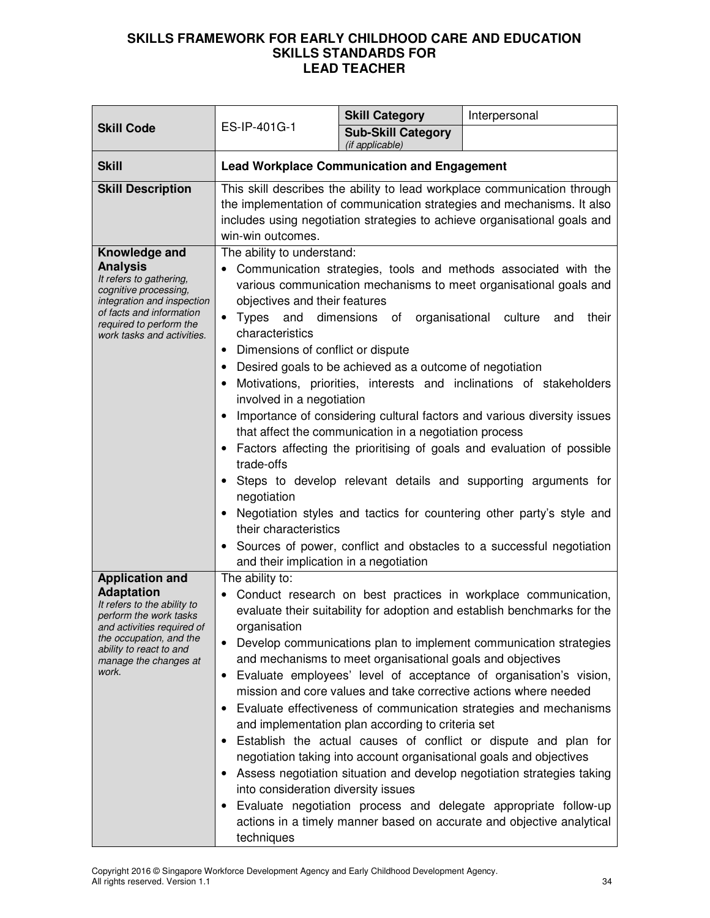| <b>Skill Code</b>                                                                                                                                                                                                          |                                                                                                                                                                                                                                                                                                                                                                                                                                                                                                                                                                                                                                                                                                                                                                                                                                                                                                                                                                                                                                                                              | <b>Skill Category</b>                              | Interpersonal |
|----------------------------------------------------------------------------------------------------------------------------------------------------------------------------------------------------------------------------|------------------------------------------------------------------------------------------------------------------------------------------------------------------------------------------------------------------------------------------------------------------------------------------------------------------------------------------------------------------------------------------------------------------------------------------------------------------------------------------------------------------------------------------------------------------------------------------------------------------------------------------------------------------------------------------------------------------------------------------------------------------------------------------------------------------------------------------------------------------------------------------------------------------------------------------------------------------------------------------------------------------------------------------------------------------------------|----------------------------------------------------|---------------|
|                                                                                                                                                                                                                            | ES-IP-401G-1                                                                                                                                                                                                                                                                                                                                                                                                                                                                                                                                                                                                                                                                                                                                                                                                                                                                                                                                                                                                                                                                 | <b>Sub-Skill Category</b><br>(if applicable)       |               |
| <b>Skill</b>                                                                                                                                                                                                               |                                                                                                                                                                                                                                                                                                                                                                                                                                                                                                                                                                                                                                                                                                                                                                                                                                                                                                                                                                                                                                                                              | <b>Lead Workplace Communication and Engagement</b> |               |
| <b>Skill Description</b>                                                                                                                                                                                                   | This skill describes the ability to lead workplace communication through<br>the implementation of communication strategies and mechanisms. It also<br>includes using negotiation strategies to achieve organisational goals and<br>win-win outcomes.                                                                                                                                                                                                                                                                                                                                                                                                                                                                                                                                                                                                                                                                                                                                                                                                                         |                                                    |               |
| Knowledge and<br><b>Analysis</b><br>It refers to gathering,<br>cognitive processing,<br>integration and inspection<br>of facts and information<br>required to perform the<br>work tasks and activities.                    | The ability to understand:<br>• Communication strategies, tools and methods associated with the<br>various communication mechanisms to meet organisational goals and<br>objectives and their features<br>• Types and dimensions of organisational culture<br>and<br>their<br>characteristics<br>Dimensions of conflict or dispute<br>$\bullet$<br>Desired goals to be achieved as a outcome of negotiation<br>Motivations, priorities, interests and inclinations of stakeholders<br>involved in a negotiation<br>Importance of considering cultural factors and various diversity issues<br>that affect the communication in a negotiation process<br>Factors affecting the prioritising of goals and evaluation of possible<br>trade-offs<br>Steps to develop relevant details and supporting arguments for<br>negotiation<br>Negotiation styles and tactics for countering other party's style and<br>their characteristics<br>Sources of power, conflict and obstacles to a successful negotiation                                                                       |                                                    |               |
| <b>Application and</b><br><b>Adaptation</b><br>It refers to the ability to<br>perform the work tasks<br>and activities required of<br>the occupation, and the<br>ability to react to and<br>manage the changes at<br>work. | and their implication in a negotiation<br>The ability to:<br>Conduct research on best practices in workplace communication,<br>evaluate their suitability for adoption and establish benchmarks for the<br>organisation<br>Develop communications plan to implement communication strategies<br>$\bullet$<br>and mechanisms to meet organisational goals and objectives<br>Evaluate employees' level of acceptance of organisation's vision,<br>$\bullet$<br>mission and core values and take corrective actions where needed<br>Evaluate effectiveness of communication strategies and mechanisms<br>and implementation plan according to criteria set<br>Establish the actual causes of conflict or dispute and plan for<br>negotiation taking into account organisational goals and objectives<br>Assess negotiation situation and develop negotiation strategies taking<br>into consideration diversity issues<br>Evaluate negotiation process and delegate appropriate follow-up<br>actions in a timely manner based on accurate and objective analytical<br>techniques |                                                    |               |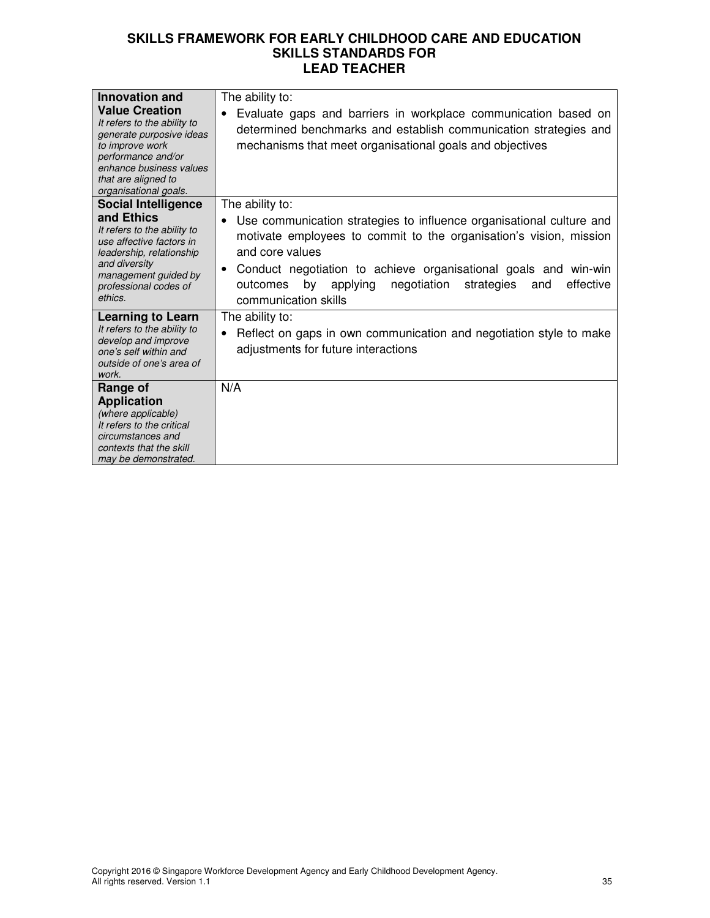| <b>Innovation and</b><br><b>Value Creation</b><br>It refers to the ability to<br>generate purposive ideas<br>to improve work<br>performance and/or<br>enhance business values<br>that are aligned to<br>organisational goals. | The ability to:<br>Evaluate gaps and barriers in workplace communication based on<br>determined benchmarks and establish communication strategies and<br>mechanisms that meet organisational goals and objectives                                                                                                                                                            |
|-------------------------------------------------------------------------------------------------------------------------------------------------------------------------------------------------------------------------------|------------------------------------------------------------------------------------------------------------------------------------------------------------------------------------------------------------------------------------------------------------------------------------------------------------------------------------------------------------------------------|
| <b>Social Intelligence</b><br>and Ethics<br>It refers to the ability to<br>use affective factors in<br>leadership, relationship<br>and diversity<br>management guided by<br>professional codes of<br>ethics.                  | The ability to:<br>Use communication strategies to influence organisational culture and<br>٠<br>motivate employees to commit to the organisation's vision, mission<br>and core values<br>Conduct negotiation to achieve organisational goals and win-win<br>$\bullet$<br>by<br>effective<br>applying<br>negotiation<br>strategies<br>outcomes<br>and<br>communication skills |
| <b>Learning to Learn</b><br>It refers to the ability to<br>develop and improve<br>one's self within and<br>outside of one's area of<br>work.                                                                                  | The ability to:<br>Reflect on gaps in own communication and negotiation style to make<br>٠<br>adjustments for future interactions                                                                                                                                                                                                                                            |
| Range of<br><b>Application</b><br>(where applicable)<br>It refers to the critical<br>circumstances and<br>contexts that the skill<br>may be demonstrated.                                                                     | N/A                                                                                                                                                                                                                                                                                                                                                                          |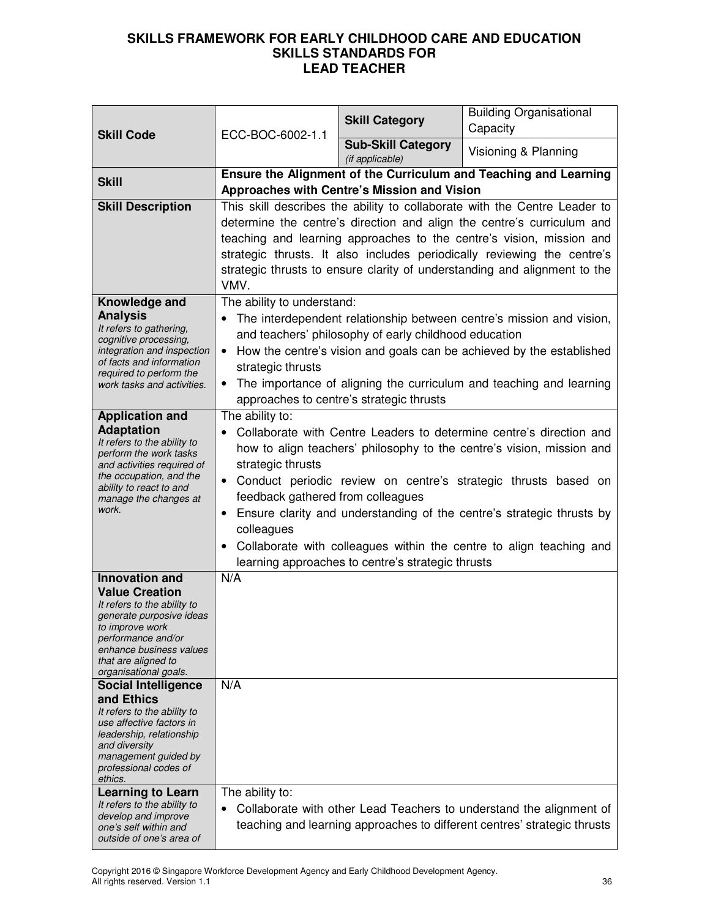|                                                        | ECC-BOC-6002-1.1                                                                   | <b>Skill Category</b>                                 | <b>Building Organisational</b><br>Capacity                                                                                                           |
|--------------------------------------------------------|------------------------------------------------------------------------------------|-------------------------------------------------------|------------------------------------------------------------------------------------------------------------------------------------------------------|
| <b>Skill Code</b>                                      |                                                                                    | <b>Sub-Skill Category</b><br>(if applicable)          | Visioning & Planning                                                                                                                                 |
| <b>Skill</b>                                           |                                                                                    |                                                       | Ensure the Alignment of the Curriculum and Teaching and Learning                                                                                     |
|                                                        |                                                                                    | Approaches with Centre's Mission and Vision           |                                                                                                                                                      |
| <b>Skill Description</b>                               |                                                                                    |                                                       | This skill describes the ability to collaborate with the Centre Leader to                                                                            |
|                                                        |                                                                                    |                                                       | determine the centre's direction and align the centre's curriculum and                                                                               |
|                                                        |                                                                                    |                                                       | teaching and learning approaches to the centre's vision, mission and                                                                                 |
|                                                        |                                                                                    |                                                       | strategic thrusts. It also includes periodically reviewing the centre's<br>strategic thrusts to ensure clarity of understanding and alignment to the |
|                                                        | VMV.                                                                               |                                                       |                                                                                                                                                      |
| Knowledge and                                          | The ability to understand:                                                         |                                                       |                                                                                                                                                      |
| <b>Analysis</b><br>It refers to gathering,             |                                                                                    |                                                       | The interdependent relationship between centre's mission and vision,                                                                                 |
| cognitive processing,                                  |                                                                                    | and teachers' philosophy of early childhood education |                                                                                                                                                      |
| integration and inspection<br>of facts and information | $\bullet$                                                                          |                                                       | How the centre's vision and goals can be achieved by the established                                                                                 |
| required to perform the                                | strategic thrusts                                                                  |                                                       |                                                                                                                                                      |
| work tasks and activities.                             |                                                                                    |                                                       | The importance of aligning the curriculum and teaching and learning                                                                                  |
|                                                        | The ability to:                                                                    | approaches to centre's strategic thrusts              |                                                                                                                                                      |
| <b>Application and</b><br><b>Adaptation</b>            |                                                                                    |                                                       | Collaborate with Centre Leaders to determine centre's direction and                                                                                  |
| It refers to the ability to                            |                                                                                    |                                                       | how to align teachers' philosophy to the centre's vision, mission and                                                                                |
| perform the work tasks<br>and activities required of   | strategic thrusts                                                                  |                                                       |                                                                                                                                                      |
| the occupation, and the                                | Conduct periodic review on centre's strategic thrusts based on<br>$\bullet$        |                                                       |                                                                                                                                                      |
| ability to react to and<br>manage the changes at       | feedback gathered from colleagues                                                  |                                                       |                                                                                                                                                      |
| work.                                                  | Ensure clarity and understanding of the centre's strategic thrusts by<br>$\bullet$ |                                                       |                                                                                                                                                      |
|                                                        | colleagues                                                                         |                                                       |                                                                                                                                                      |
|                                                        | Collaborate with colleagues within the centre to align teaching and                |                                                       |                                                                                                                                                      |
|                                                        |                                                                                    | learning approaches to centre's strategic thrusts     |                                                                                                                                                      |
| <b>Innovation and</b>                                  | N/A                                                                                |                                                       |                                                                                                                                                      |
| <b>Value Creation</b><br>It refers to the ability to   |                                                                                    |                                                       |                                                                                                                                                      |
| generate purposive ideas                               |                                                                                    |                                                       |                                                                                                                                                      |
| to improve work<br>performance and/or                  |                                                                                    |                                                       |                                                                                                                                                      |
| enhance business values                                |                                                                                    |                                                       |                                                                                                                                                      |
| that are aligned to<br>organisational goals.           |                                                                                    |                                                       |                                                                                                                                                      |
| <b>Social Intelligence</b>                             | N/A                                                                                |                                                       |                                                                                                                                                      |
| and Ethics<br>It refers to the ability to              |                                                                                    |                                                       |                                                                                                                                                      |
| use affective factors in                               |                                                                                    |                                                       |                                                                                                                                                      |
| leadership, relationship<br>and diversity              |                                                                                    |                                                       |                                                                                                                                                      |
| management guided by                                   |                                                                                    |                                                       |                                                                                                                                                      |
| professional codes of<br>ethics.                       |                                                                                    |                                                       |                                                                                                                                                      |
| <b>Learning to Learn</b>                               | The ability to:                                                                    |                                                       |                                                                                                                                                      |
| It refers to the ability to<br>develop and improve     | $\bullet$                                                                          |                                                       | Collaborate with other Lead Teachers to understand the alignment of                                                                                  |
| one's self within and                                  |                                                                                    |                                                       | teaching and learning approaches to different centres' strategic thrusts                                                                             |
| outside of one's area of                               |                                                                                    |                                                       |                                                                                                                                                      |

Copyright 2016 © Singapore Workforce Development Agency and Early Childhood Development Agency. All rights reserved. Version 1.1 36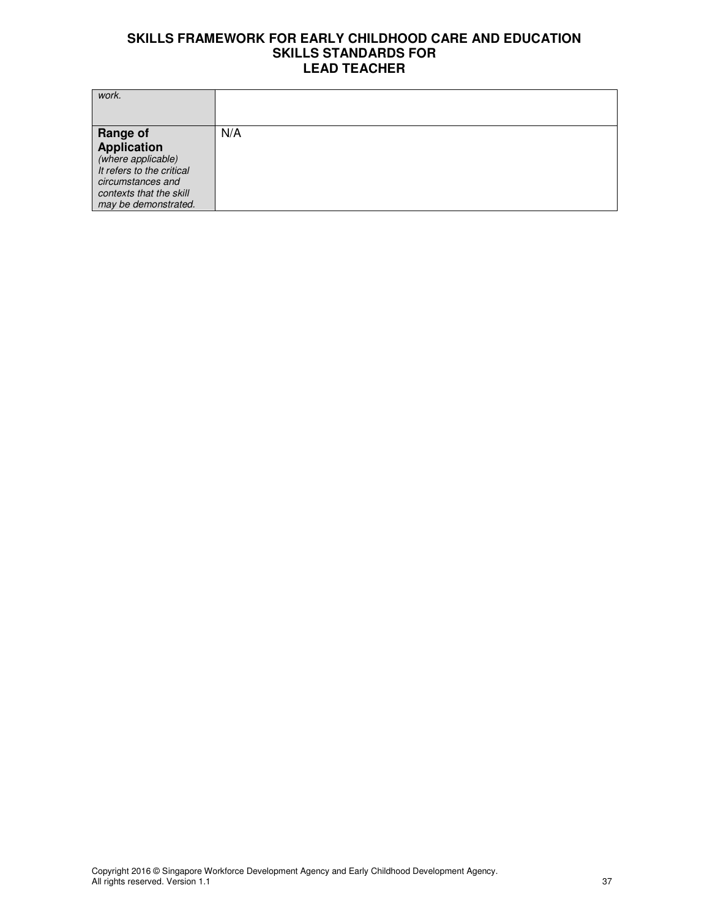| work.                                                                                                                                                            |     |
|------------------------------------------------------------------------------------------------------------------------------------------------------------------|-----|
| <b>Range of</b><br><b>Application</b><br>(where applicable)<br>It refers to the critical<br>circumstances and<br>contexts that the skill<br>may be demonstrated. | N/A |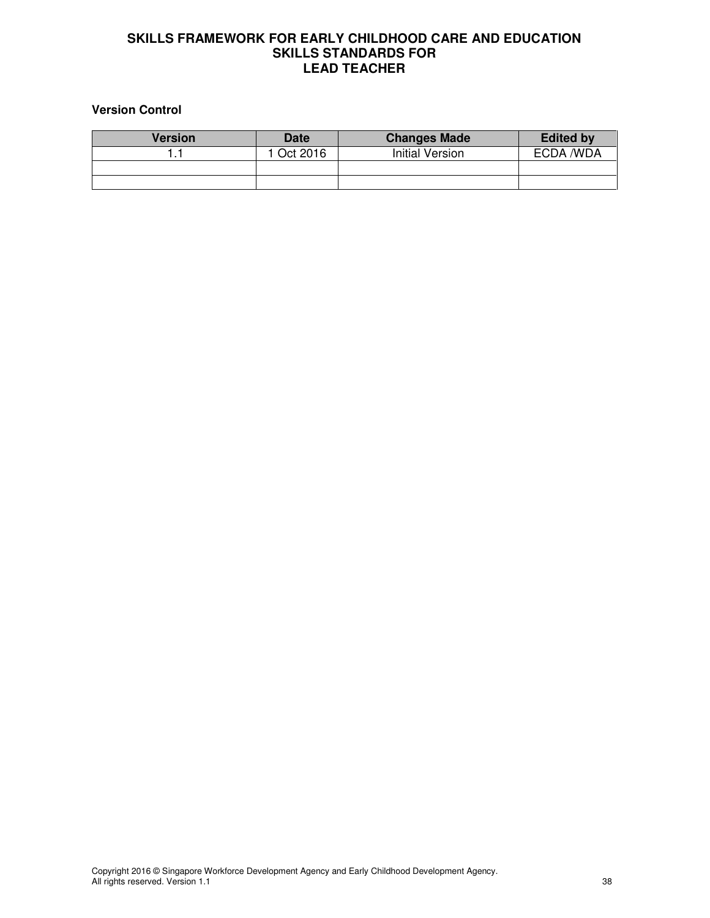# **Version Control**

| Version | <b>Date</b> | <b>Changes Made</b> | <b>Edited by</b> |
|---------|-------------|---------------------|------------------|
|         | l Oct 2016  | Initial Version     | ECDA /WDA        |
|         |             |                     |                  |
|         |             |                     |                  |